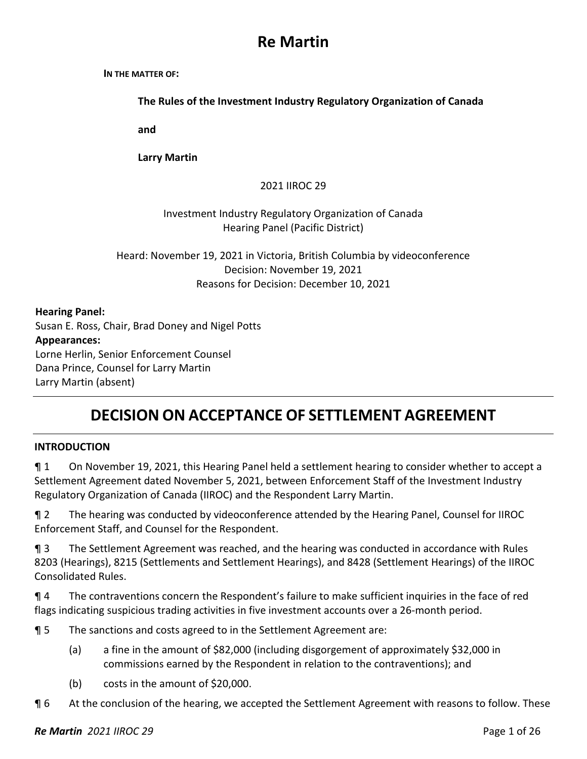# **Re Martin**

#### **IN THE MATTER OF:**

**The Rules of the Investment Industry Regulatory Organization of Canada**

**and** 

**Larry Martin**

#### 2021 IIROC 29

### Investment Industry Regulatory Organization of Canada Hearing Panel (Pacific District)

Heard: November 19, 2021 in Victoria, British Columbia by videoconference Decision: November 19, 2021 Reasons for Decision: December 10, 2021

#### **Hearing Panel:**

Susan E. Ross, Chair, Brad Doney and Nigel Potts **Appearances:** Lorne Herlin, Senior Enforcement Counsel Dana Prince, Counsel for Larry Martin Larry Martin (absent)

# **DECISION ON ACCEPTANCE OF SETTLEMENT AGREEMENT**

#### **INTRODUCTION**

¶ 1 On November 19, 2021, this Hearing Panel held a settlement hearing to consider whether to accept a Settlement Agreement dated November 5, 2021, between Enforcement Staff of the Investment Industry Regulatory Organization of Canada (IIROC) and the Respondent Larry Martin.

¶ 2 The hearing was conducted by videoconference attended by the Hearing Panel, Counsel for IIROC Enforcement Staff, and Counsel for the Respondent.

¶ 3 The Settlement Agreement was reached, and the hearing was conducted in accordance with Rules 8203 (Hearings), 8215 (Settlements and Settlement Hearings), and 8428 (Settlement Hearings) of the IIROC Consolidated Rules.

¶ 4 The contraventions concern the Respondent's failure to make sufficient inquiries in the face of red flags indicating suspicious trading activities in five investment accounts over a 26-month period.

¶ 5 The sanctions and costs agreed to in the Settlement Agreement are:

- (a) a fine in the amount of \$82,000 (including disgorgement of approximately \$32,000 in commissions earned by the Respondent in relation to the contraventions); and
- (b) costs in the amount of \$20,000.
- **¶** 6 At the conclusion of the hearing, we accepted the Settlement Agreement with reasons to follow. These

#### *Re Martin 2021 IIROC 29* Page 1 of 26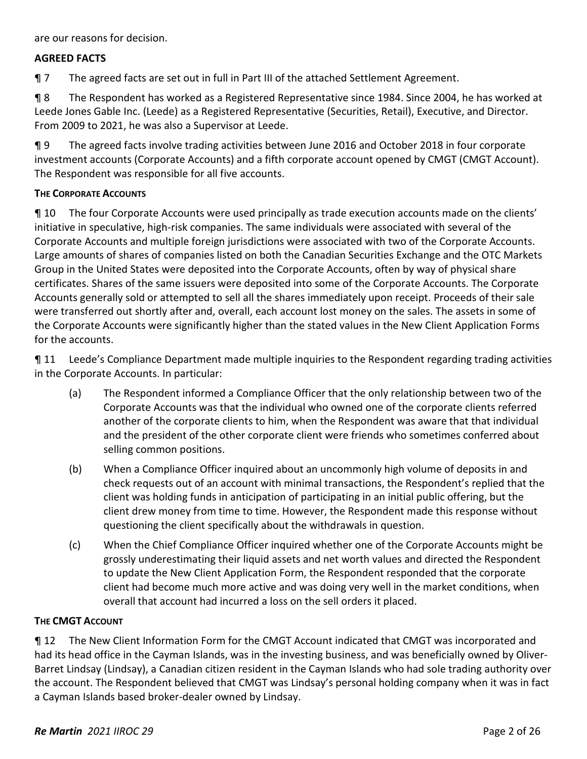are our reasons for decision.

#### **AGREED FACTS**

¶ 7 The agreed facts are set out in full in Part III of the attached Settlement Agreement.

¶ 8 The Respondent has worked as a Registered Representative since 1984. Since 2004, he has worked at Leede Jones Gable Inc. (Leede) as a Registered Representative (Securities, Retail), Executive, and Director. From 2009 to 2021, he was also a Supervisor at Leede.

¶ 9 The agreed facts involve trading activities between June 2016 and October 2018 in four corporate investment accounts (Corporate Accounts) and a fifth corporate account opened by CMGT (CMGT Account). The Respondent was responsible for all five accounts.

#### **THE CORPORATE ACCOUNTS**

¶ 10 The four Corporate Accounts were used principally as trade execution accounts made on the clients' initiative in speculative, high-risk companies. The same individuals were associated with several of the Corporate Accounts and multiple foreign jurisdictions were associated with two of the Corporate Accounts. Large amounts of shares of companies listed on both the Canadian Securities Exchange and the OTC Markets Group in the United States were deposited into the Corporate Accounts, often by way of physical share certificates. Shares of the same issuers were deposited into some of the Corporate Accounts. The Corporate Accounts generally sold or attempted to sell all the shares immediately upon receipt. Proceeds of their sale were transferred out shortly after and, overall, each account lost money on the sales. The assets in some of the Corporate Accounts were significantly higher than the stated values in the New Client Application Forms for the accounts.

¶ 11 Leede's Compliance Department made multiple inquiries to the Respondent regarding trading activities in the Corporate Accounts. In particular:

- (a) The Respondent informed a Compliance Officer that the only relationship between two of the Corporate Accounts was that the individual who owned one of the corporate clients referred another of the corporate clients to him, when the Respondent was aware that that individual and the president of the other corporate client were friends who sometimes conferred about selling common positions.
- (b) When a Compliance Officer inquired about an uncommonly high volume of deposits in and check requests out of an account with minimal transactions, the Respondent's replied that the client was holding funds in anticipation of participating in an initial public offering, but the client drew money from time to time. However, the Respondent made this response without questioning the client specifically about the withdrawals in question.
- (c) When the Chief Compliance Officer inquired whether one of the Corporate Accounts might be grossly underestimating their liquid assets and net worth values and directed the Respondent to update the New Client Application Form, the Respondent responded that the corporate client had become much more active and was doing very well in the market conditions, when overall that account had incurred a loss on the sell orders it placed.

#### **THE CMGT ACCOUNT**

¶ 12 The New Client Information Form for the CMGT Account indicated that CMGT was incorporated and had its head office in the Cayman Islands, was in the investing business, and was beneficially owned by Oliver-Barret Lindsay (Lindsay), a Canadian citizen resident in the Cayman Islands who had sole trading authority over the account. The Respondent believed that CMGT was Lindsay's personal holding company when it was in fact a Cayman Islands based broker-dealer owned by Lindsay.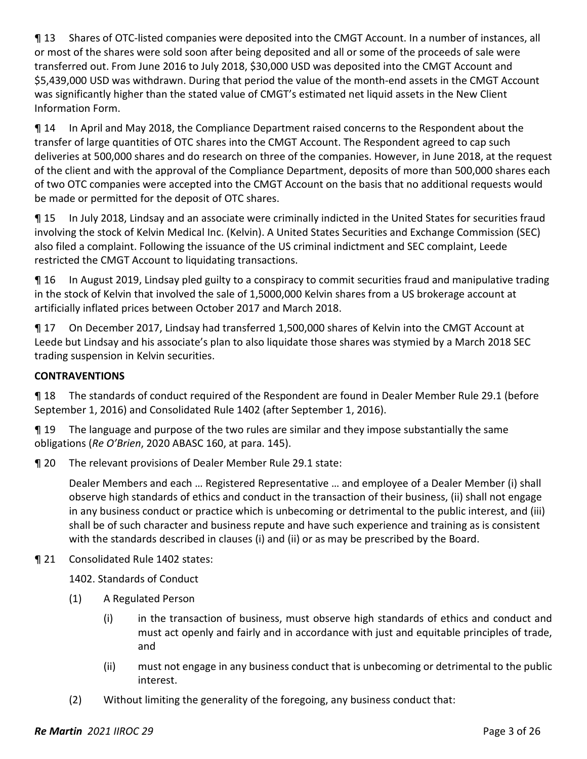¶ 13 Shares of OTC-listed companies were deposited into the CMGT Account. In a number of instances, all or most of the shares were sold soon after being deposited and all or some of the proceeds of sale were transferred out. From June 2016 to July 2018, \$30,000 USD was deposited into the CMGT Account and \$5,439,000 USD was withdrawn. During that period the value of the month-end assets in the CMGT Account was significantly higher than the stated value of CMGT's estimated net liquid assets in the New Client Information Form.

¶ 14 In April and May 2018, the Compliance Department raised concerns to the Respondent about the transfer of large quantities of OTC shares into the CMGT Account. The Respondent agreed to cap such deliveries at 500,000 shares and do research on three of the companies. However, in June 2018, at the request of the client and with the approval of the Compliance Department, deposits of more than 500,000 shares each of two OTC companies were accepted into the CMGT Account on the basis that no additional requests would be made or permitted for the deposit of OTC shares.

¶ 15 In July 2018, Lindsay and an associate were criminally indicted in the United States for securities fraud involving the stock of Kelvin Medical Inc. (Kelvin). A United States Securities and Exchange Commission (SEC) also filed a complaint. Following the issuance of the US criminal indictment and SEC complaint, Leede restricted the CMGT Account to liquidating transactions.

¶ 16 In August 2019, Lindsay pled guilty to a conspiracy to commit securities fraud and manipulative trading in the stock of Kelvin that involved the sale of 1,5000,000 Kelvin shares from a US brokerage account at artificially inflated prices between October 2017 and March 2018.

¶ 17 On December 2017, Lindsay had transferred 1,500,000 shares of Kelvin into the CMGT Account at Leede but Lindsay and his associate's plan to also liquidate those shares was stymied by a March 2018 SEC trading suspension in Kelvin securities.

## **CONTRAVENTIONS**

¶ 18 The standards of conduct required of the Respondent are found in Dealer Member Rule 29.1 (before September 1, 2016) and Consolidated Rule 1402 (after September 1, 2016).

¶ 19 The language and purpose of the two rules are similar and they impose substantially the same obligations (*Re O'Brien*, 2020 ABASC 160, at para. 145).

¶ 20 The relevant provisions of Dealer Member Rule 29.1 state:

Dealer Members and each … Registered Representative … and employee of a Dealer Member (i) shall observe high standards of ethics and conduct in the transaction of their business, (ii) shall not engage in any business conduct or practice which is unbecoming or detrimental to the public interest, and (iii) shall be of such character and business repute and have such experience and training as is consistent with the standards described in clauses (i) and (ii) or as may be prescribed by the Board.

## ¶ 21 Consolidated Rule 1402 states:

1402. Standards of Conduct

- (1) A Regulated Person
	- (i) in the transaction of business, must observe high standards of ethics and conduct and must act openly and fairly and in accordance with just and equitable principles of trade, and
	- (ii) must not engage in any business conduct that is unbecoming or detrimental to the public interest.
- (2) Without limiting the generality of the foregoing, any business conduct that: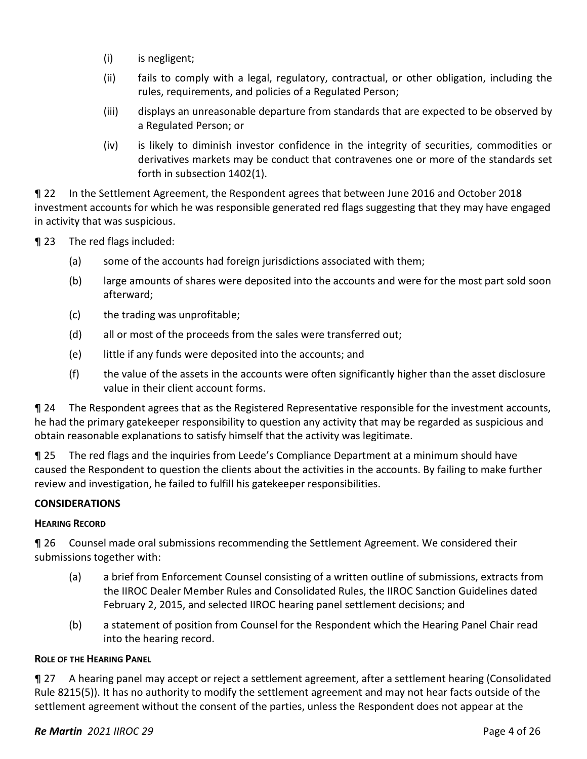- (i) is negligent;
- (ii) fails to comply with a legal, regulatory, contractual, or other obligation, including the rules, requirements, and policies of a Regulated Person;
- (iii) displays an unreasonable departure from standards that are expected to be observed by a Regulated Person; or
- (iv) is likely to diminish investor confidence in the integrity of securities, commodities or derivatives markets may be conduct that contravenes one or more of the standards set forth in subsection 1402(1).

¶ 22 In the Settlement Agreement, the Respondent agrees that between June 2016 and October 2018 investment accounts for which he was responsible generated red flags suggesting that they may have engaged in activity that was suspicious.

¶ 23 The red flags included:

- (a) some of the accounts had foreign jurisdictions associated with them;
- (b) large amounts of shares were deposited into the accounts and were for the most part sold soon afterward;
- (c) the trading was unprofitable;
- (d) all or most of the proceeds from the sales were transferred out;
- (e) little if any funds were deposited into the accounts; and
- (f) the value of the assets in the accounts were often significantly higher than the asset disclosure value in their client account forms.

¶ 24 The Respondent agrees that as the Registered Representative responsible for the investment accounts, he had the primary gatekeeper responsibility to question any activity that may be regarded as suspicious and obtain reasonable explanations to satisfy himself that the activity was legitimate.

¶ 25 The red flags and the inquiries from Leede's Compliance Department at a minimum should have caused the Respondent to question the clients about the activities in the accounts. By failing to make further review and investigation, he failed to fulfill his gatekeeper responsibilities.

#### **CONSIDERATIONS**

#### **HEARING RECORD**

¶ 26 Counsel made oral submissions recommending the Settlement Agreement. We considered their submissions together with:

- (a) a brief from Enforcement Counsel consisting of a written outline of submissions, extracts from the IIROC Dealer Member Rules and Consolidated Rules, the IIROC Sanction Guidelines dated February 2, 2015, and selected IIROC hearing panel settlement decisions; and
- (b) a statement of position from Counsel for the Respondent which the Hearing Panel Chair read into the hearing record.

#### **ROLE OF THE HEARING PANEL**

¶ 27 A hearing panel may accept or reject a settlement agreement, after a settlement hearing (Consolidated Rule 8215(5)). It has no authority to modify the settlement agreement and may not hear facts outside of the settlement agreement without the consent of the parties, unless the Respondent does not appear at the

#### *Re Martin 2021 IIROC 29* Page 4 of 26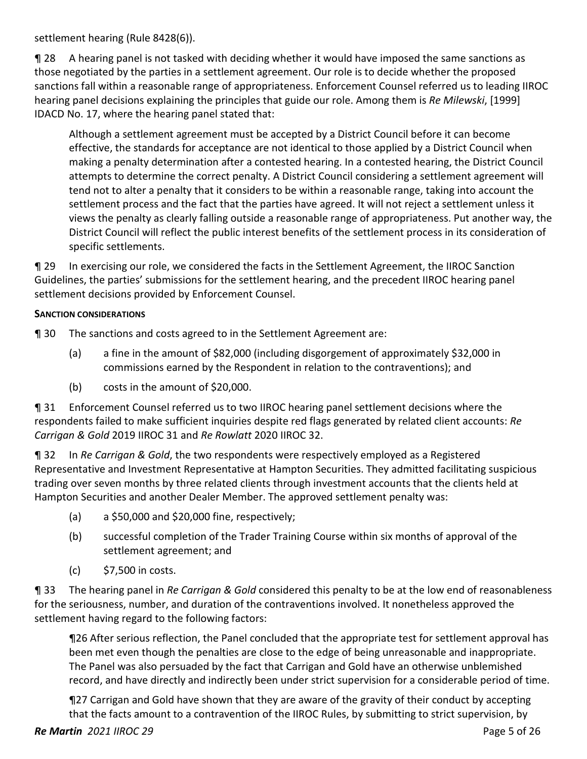settlement hearing (Rule 8428(6)).

¶ 28 A hearing panel is not tasked with deciding whether it would have imposed the same sanctions as those negotiated by the parties in a settlement agreement. Our role is to decide whether the proposed sanctions fall within a reasonable range of appropriateness. Enforcement Counsel referred us to leading IIROC hearing panel decisions explaining the principles that guide our role. Among them is *Re Milewski*, [1999] IDACD No. 17, where the hearing panel stated that:

Although a settlement agreement must be accepted by a District Council before it can become effective, the standards for acceptance are not identical to those applied by a District Council when making a penalty determination after a contested hearing. In a contested hearing, the District Council attempts to determine the correct penalty. A District Council considering a settlement agreement will tend not to alter a penalty that it considers to be within a reasonable range, taking into account the settlement process and the fact that the parties have agreed. It will not reject a settlement unless it views the penalty as clearly falling outside a reasonable range of appropriateness. Put another way, the District Council will reflect the public interest benefits of the settlement process in its consideration of specific settlements.

¶ 29 In exercising our role, we considered the facts in the Settlement Agreement, the IIROC Sanction Guidelines, the parties' submissions for the settlement hearing, and the precedent IIROC hearing panel settlement decisions provided by Enforcement Counsel.

#### **SANCTION CONSIDERATIONS**

¶ 30 The sanctions and costs agreed to in the Settlement Agreement are:

- (a) a fine in the amount of \$82,000 (including disgorgement of approximately \$32,000 in commissions earned by the Respondent in relation to the contraventions); and
- (b) costs in the amount of \$20,000.

¶ 31 Enforcement Counsel referred us to two IIROC hearing panel settlement decisions where the respondents failed to make sufficient inquiries despite red flags generated by related client accounts: *Re Carrigan & Gold* 2019 IIROC 31 and *Re Rowlatt* 2020 IIROC 32.

¶ 32 In *Re Carrigan & Gold*, the two respondents were respectively employed as a Registered Representative and Investment Representative at Hampton Securities. They admitted facilitating suspicious trading over seven months by three related clients through investment accounts that the clients held at Hampton Securities and another Dealer Member. The approved settlement penalty was:

- (a) a \$50,000 and \$20,000 fine, respectively;
- (b) successful completion of the Trader Training Course within six months of approval of the settlement agreement; and
- (c) \$7,500 in costs.

¶ 33 The hearing panel in *Re Carrigan & Gold* considered this penalty to be at the low end of reasonableness for the seriousness, number, and duration of the contraventions involved. It nonetheless approved the settlement having regard to the following factors:

¶26 After serious reflection, the Panel concluded that the appropriate test for settlement approval has been met even though the penalties are close to the edge of being unreasonable and inappropriate. The Panel was also persuaded by the fact that Carrigan and Gold have an otherwise unblemished record, and have directly and indirectly been under strict supervision for a considerable period of time.

¶27 Carrigan and Gold have shown that they are aware of the gravity of their conduct by accepting that the facts amount to a contravention of the IIROC Rules, by submitting to strict supervision, by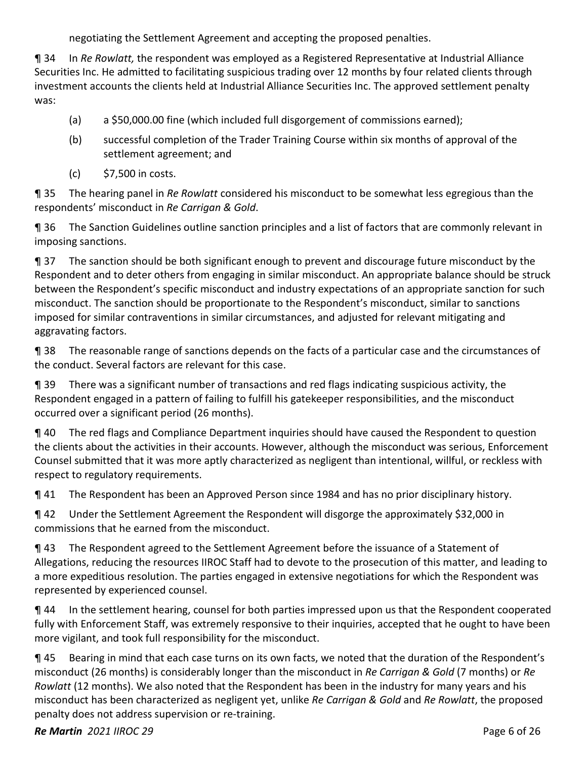negotiating the Settlement Agreement and accepting the proposed penalties.

¶ 34 In *Re Rowlatt,* the respondent was employed as a Registered Representative at Industrial Alliance Securities Inc. He admitted to facilitating suspicious trading over 12 months by four related clients through investment accounts the clients held at Industrial Alliance Securities Inc. The approved settlement penalty was:

- (a) a \$50,000.00 fine (which included full disgorgement of commissions earned);
- (b) successful completion of the Trader Training Course within six months of approval of the settlement agreement; and
- (c) \$7,500 in costs.

¶ 35 The hearing panel in *Re Rowlatt* considered his misconduct to be somewhat less egregious than the respondents' misconduct in *Re Carrigan & Gold*.

¶ 36 The Sanction Guidelines outline sanction principles and a list of factors that are commonly relevant in imposing sanctions.

¶ 37 The sanction should be both significant enough to prevent and discourage future misconduct by the Respondent and to deter others from engaging in similar misconduct. An appropriate balance should be struck between the Respondent's specific misconduct and industry expectations of an appropriate sanction for such misconduct. The sanction should be proportionate to the Respondent's misconduct, similar to sanctions imposed for similar contraventions in similar circumstances, and adjusted for relevant mitigating and aggravating factors.

¶ 38 The reasonable range of sanctions depends on the facts of a particular case and the circumstances of the conduct. Several factors are relevant for this case.

¶ 39 There was a significant number of transactions and red flags indicating suspicious activity, the Respondent engaged in a pattern of failing to fulfill his gatekeeper responsibilities, and the misconduct occurred over a significant period (26 months).

¶ 40 The red flags and Compliance Department inquiries should have caused the Respondent to question the clients about the activities in their accounts. However, although the misconduct was serious, Enforcement Counsel submitted that it was more aptly characterized as negligent than intentional, willful, or reckless with respect to regulatory requirements.

¶ 41 The Respondent has been an Approved Person since 1984 and has no prior disciplinary history.

¶ 42 Under the Settlement Agreement the Respondent will disgorge the approximately \$32,000 in commissions that he earned from the misconduct.

¶ 43 The Respondent agreed to the Settlement Agreement before the issuance of a Statement of Allegations, reducing the resources IIROC Staff had to devote to the prosecution of this matter, and leading to a more expeditious resolution. The parties engaged in extensive negotiations for which the Respondent was represented by experienced counsel.

¶ 44 In the settlement hearing, counsel for both parties impressed upon us that the Respondent cooperated fully with Enforcement Staff, was extremely responsive to their inquiries, accepted that he ought to have been more vigilant, and took full responsibility for the misconduct.

¶ 45 Bearing in mind that each case turns on its own facts, we noted that the duration of the Respondent's misconduct (26 months) is considerably longer than the misconduct in *Re Carrigan & Gold* (7 months) or *Re Rowlatt* (12 months). We also noted that the Respondent has been in the industry for many years and his misconduct has been characterized as negligent yet, unlike *Re Carrigan & Gold* and *Re Rowlatt*, the proposed penalty does not address supervision or re-training.

## *Re Martin 2021 IIROC 29* Page 6 of 26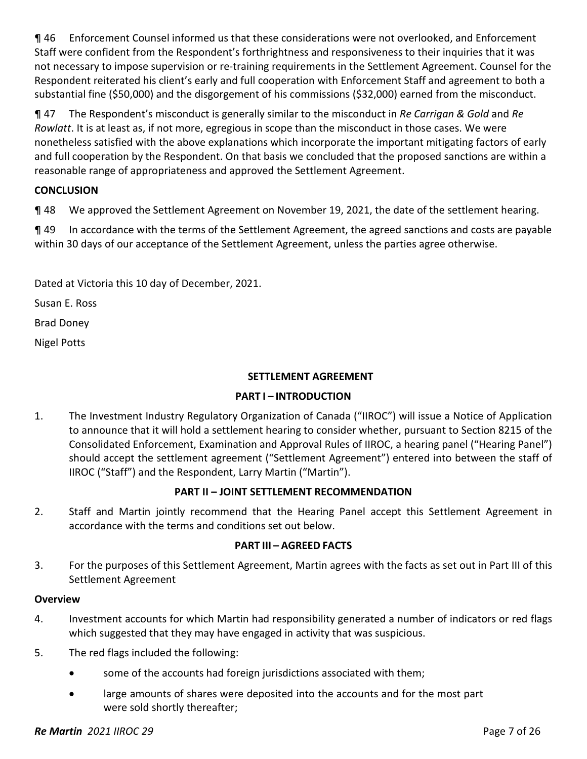¶ 46 Enforcement Counsel informed us that these considerations were not overlooked, and Enforcement Staff were confident from the Respondent's forthrightness and responsiveness to their inquiries that it was not necessary to impose supervision or re-training requirements in the Settlement Agreement. Counsel for the Respondent reiterated his client's early and full cooperation with Enforcement Staff and agreement to both a substantial fine (\$50,000) and the disgorgement of his commissions (\$32,000) earned from the misconduct.

¶ 47 The Respondent's misconduct is generally similar to the misconduct in *Re Carrigan & Gold* and *Re Rowlatt*. It is at least as, if not more, egregious in scope than the misconduct in those cases. We were nonetheless satisfied with the above explanations which incorporate the important mitigating factors of early and full cooperation by the Respondent. On that basis we concluded that the proposed sanctions are within a reasonable range of appropriateness and approved the Settlement Agreement.

## **CONCLUSION**

¶ 48 We approved the Settlement Agreement on November 19, 2021, the date of the settlement hearing.

¶ 49 In accordance with the terms of the Settlement Agreement, the agreed sanctions and costs are payable within 30 days of our acceptance of the Settlement Agreement, unless the parties agree otherwise.

Dated at Victoria this 10 day of December, 2021.

Susan E. Ross

Brad Doney

Nigel Potts

#### **SETTLEMENT AGREEMENT**

#### **PART I – INTRODUCTION**

1. The Investment Industry Regulatory Organization of Canada ("IIROC") will issue a Notice of Application to announce that it will hold a settlement hearing to consider whether, pursuant to Section 8215 of the Consolidated Enforcement, Examination and Approval Rules of IIROC, a hearing panel ("Hearing Panel") should accept the settlement agreement ("Settlement Agreement") entered into between the staff of IIROC ("Staff") and the Respondent, Larry Martin ("Martin").

## **PART II – JOINT SETTLEMENT RECOMMENDATION**

2. Staff and Martin jointly recommend that the Hearing Panel accept this Settlement Agreement in accordance with the terms and conditions set out below.

#### **PART III – AGREED FACTS**

3. For the purposes of this Settlement Agreement, Martin agrees with the facts as set out in Part III of this Settlement Agreement

#### **Overview**

- 4. Investment accounts for which Martin had responsibility generated a number of indicators or red flags which suggested that they may have engaged in activity that was suspicious.
- 5. The red flags included the following:
	- some of the accounts had foreign jurisdictions associated with them;
	- large amounts of shares were deposited into the accounts and for the most part were sold shortly thereafter;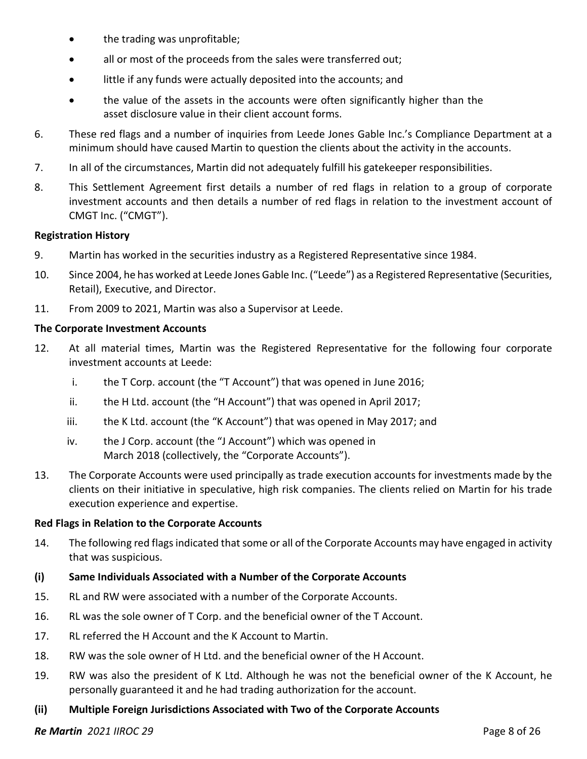- the trading was unprofitable;
- all or most of the proceeds from the sales were transferred out;
- little if any funds were actually deposited into the accounts; and
- the value of the assets in the accounts were often significantly higher than the asset disclosure value in their client account forms.
- 6. These red flags and a number of inquiries from Leede Jones Gable Inc.'s Compliance Department at a minimum should have caused Martin to question the clients about the activity in the accounts.
- 7. In all of the circumstances, Martin did not adequately fulfill his gatekeeper responsibilities.
- 8. This Settlement Agreement first details a number of red flags in relation to a group of corporate investment accounts and then details a number of red flags in relation to the investment account of CMGT Inc. ("CMGT").

#### **Registration History**

- 9. Martin has worked in the securities industry as a Registered Representative since 1984.
- 10. Since 2004, he has worked at Leede Jones Gable Inc. ("Leede") as a Registered Representative (Securities, Retail), Executive, and Director.
- 11. From 2009 to 2021, Martin was also a Supervisor at Leede.

#### **The Corporate Investment Accounts**

- 12. At all material times, Martin was the Registered Representative for the following four corporate investment accounts at Leede:
	- i. the T Corp. account (the "T Account") that was opened in June 2016;
	- ii. the H Ltd. account (the "H Account") that was opened in April 2017;
	- iii. the K Ltd. account (the "K Account") that was opened in May 2017; and
	- iv. the J Corp. account (the "J Account") which was opened in March 2018 (collectively, the "Corporate Accounts").
- 13. The Corporate Accounts were used principally as trade execution accounts for investments made by the clients on their initiative in speculative, high risk companies. The clients relied on Martin for his trade execution experience and expertise.

#### **Red Flags in Relation to the Corporate Accounts**

14. The following red flags indicated that some or all of the Corporate Accounts may have engaged in activity that was suspicious.

#### **(i) Same Individuals Associated with a Number of the Corporate Accounts**

- 15. RL and RW were associated with a number of the Corporate Accounts.
- 16. RL was the sole owner of T Corp. and the beneficial owner of the T Account.
- 17. RL referred the H Account and the K Account to Martin.
- 18. RW was the sole owner of H Ltd. and the beneficial owner of the H Account.
- 19. RW was also the president of K Ltd. Although he was not the beneficial owner of the K Account, he personally guaranteed it and he had trading authorization for the account.
- **(ii) Multiple Foreign Jurisdictions Associated with Two of the Corporate Accounts**

#### *Re Martin 2021 IIROC 29* Page 8 of 26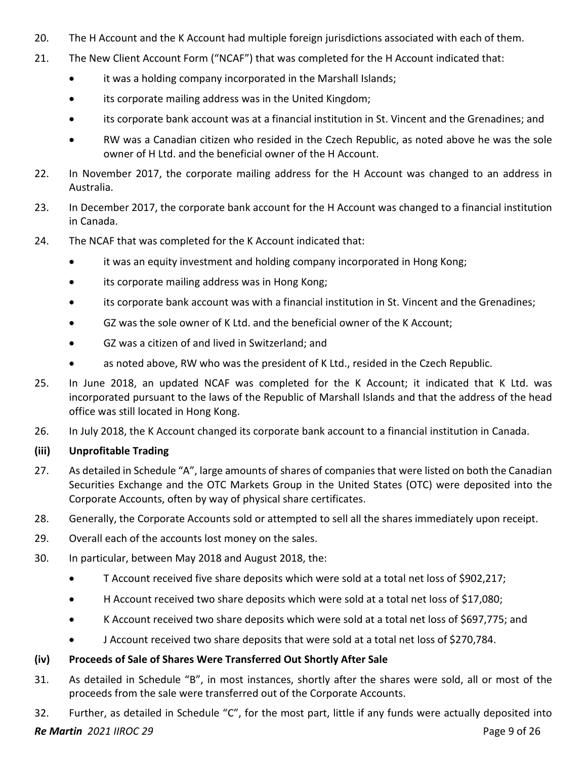- 20. The H Account and the K Account had multiple foreign jurisdictions associated with each of them.
- 21. The New Client Account Form ("NCAF") that was completed for the H Account indicated that:
	- it was a holding company incorporated in the Marshall Islands;
	- its corporate mailing address was in the United Kingdom;
	- its corporate bank account was at a financial institution in St. Vincent and the Grenadines; and
	- RW was a Canadian citizen who resided in the Czech Republic, as noted above he was the sole owner of H Ltd. and the beneficial owner of the H Account.
- 22. In November 2017, the corporate mailing address for the H Account was changed to an address in Australia.
- 23. In December 2017, the corporate bank account for the H Account was changed to a financial institution in Canada.
- 24. The NCAF that was completed for the K Account indicated that:
	- it was an equity investment and holding company incorporated in Hong Kong;
	- its corporate mailing address was in Hong Kong;
	- its corporate bank account was with a financial institution in St. Vincent and the Grenadines;
	- GZ was the sole owner of K Ltd. and the beneficial owner of the K Account;
	- GZ was a citizen of and lived in Switzerland; and
	- as noted above, RW who was the president of K Ltd., resided in the Czech Republic.
- 25. In June 2018, an updated NCAF was completed for the K Account; it indicated that K Ltd. was incorporated pursuant to the laws of the Republic of Marshall Islands and that the address of the head office was still located in Hong Kong.
- 26. In July 2018, the K Account changed its corporate bank account to a financial institution in Canada.

#### **(iii) Unprofitable Trading**

- 27. As detailed in Schedule "A", large amounts of shares of companies that were listed on both the Canadian Securities Exchange and the OTC Markets Group in the United States (OTC) were deposited into the Corporate Accounts, often by way of physical share certificates.
- 28. Generally, the Corporate Accounts sold or attempted to sell all the shares immediately upon receipt.
- 29. Overall each of the accounts lost money on the sales.
- 30. In particular, between May 2018 and August 2018, the:
	- T Account received five share deposits which were sold at a total net loss of \$902,217;
	- H Account received two share deposits which were sold at a total net loss of \$17,080;
	- K Account received two share deposits which were sold at a total net loss of \$697,775; and
	- J Account received two share deposits that were sold at a total net loss of \$270,784.

#### **(iv) Proceeds of Sale of Shares Were Transferred Out Shortly After Sale**

- 31. As detailed in Schedule "B", in most instances, shortly after the shares were sold, all or most of the proceeds from the sale were transferred out of the Corporate Accounts.
- 32. Further, as detailed in Schedule "C", for the most part, little if any funds were actually deposited into

#### *Re Martin 2021 IIROC 29* Page 9 of 26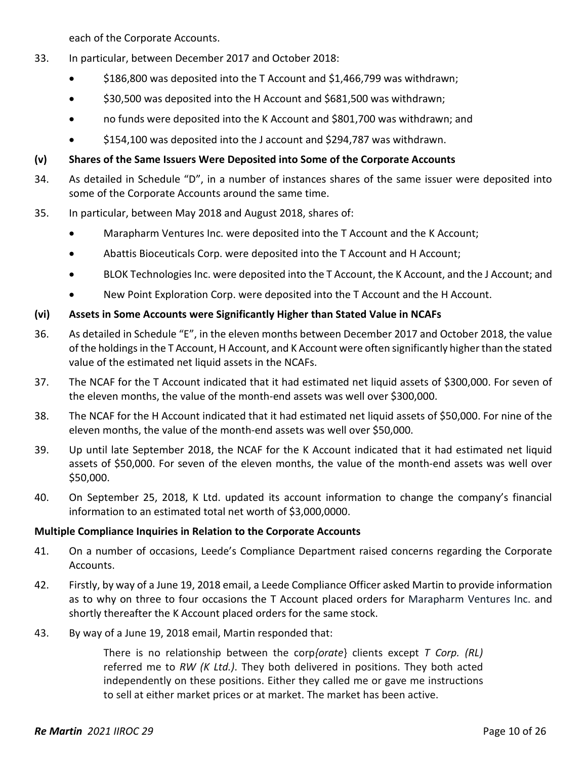each of the Corporate Accounts.

- 33. In particular, between December 2017 and October 2018:
	- \$186,800 was deposited into the T Account and \$1,466,799 was withdrawn;
	- \$30,500 was deposited into the H Account and \$681,500 was withdrawn;
	- no funds were deposited into the K Account and \$801,700 was withdrawn; and
	- \$154,100 was deposited into the J account and \$294,787 was withdrawn.

### **(v) Shares of the Same Issuers Were Deposited into Some of the Corporate Accounts**

- 34. As detailed in Schedule "D", in a number of instances shares of the same issuer were deposited into some of the Corporate Accounts around the same time.
- 35. In particular, between May 2018 and August 2018, shares of:
	- Marapharm Ventures Inc. were deposited into the T Account and the K Account;
	- Abattis Bioceuticals Corp. were deposited into the T Account and H Account;
	- BLOK Technologies Inc. were deposited into the T Account, the K Account, and the J Account; and
	- New Point Exploration Corp. were deposited into the T Account and the H Account.

## **(vi) Assets in Some Accounts were Significantly Higher than Stated Value in NCAFs**

- 36. As detailed in Schedule "E", in the eleven months between December 2017 and October 2018, the value of the holdings in the T Account, H Account, and K Account were often significantly higher than the stated value of the estimated net liquid assets in the NCAFs.
- 37. The NCAF for the T Account indicated that it had estimated net liquid assets of \$300,000. For seven of the eleven months, the value of the month-end assets was well over \$300,000.
- 38. The NCAF for the H Account indicated that it had estimated net liquid assets of \$50,000. For nine of the eleven months, the value of the month-end assets was well over \$50,000.
- 39. Up until late September 2018, the NCAF for the K Account indicated that it had estimated net liquid assets of \$50,000. For seven of the eleven months, the value of the month-end assets was well over \$50,000.
- 40. On September 25, 2018, K Ltd. updated its account information to change the company's financial information to an estimated total net worth of \$3,000,0000.

## **Multiple Compliance Inquiries in Relation to the Corporate Accounts**

- 41. On a number of occasions, Leede's Compliance Department raised concerns regarding the Corporate Accounts.
- 42. Firstly, by way of a June 19, 2018 email, a Leede Compliance Officer asked Martin to provide information as to why on three to four occasions the T Account placed orders for Marapharm Ventures Inc. and shortly thereafter the K Account placed orders for the same stock.
- 43. By way of a June 19, 2018 email, Martin responded that:

There is no relationship between the corp*{orate*} clients except *T Corp. (RL)*  referred me to *RW (K Ltd.)*. They both delivered in positions. They both acted independently on these positions. Either they called me or gave me instructions to sell at either market prices or at market. The market has been active.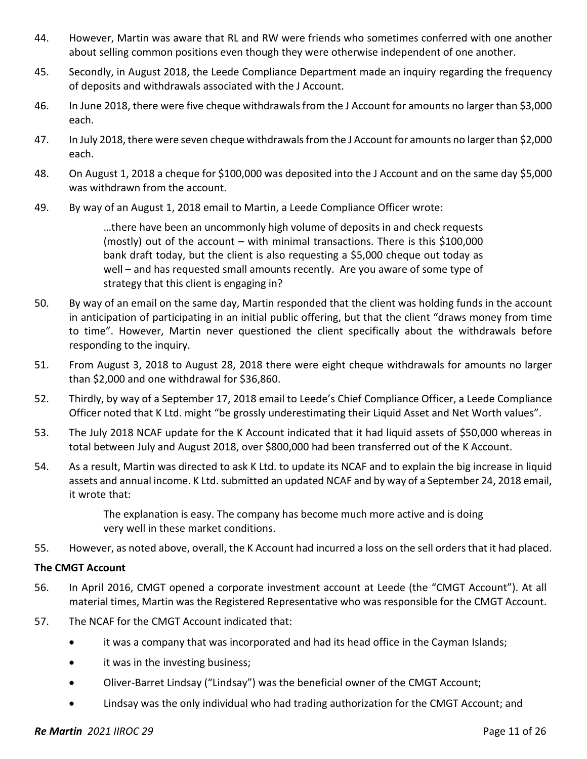- 44. However, Martin was aware that RL and RW were friends who sometimes conferred with one another about selling common positions even though they were otherwise independent of one another.
- 45. Secondly, in August 2018, the Leede Compliance Department made an inquiry regarding the frequency of deposits and withdrawals associated with the J Account.
- 46. In June 2018, there were five cheque withdrawals from the J Account for amounts no larger than \$3,000 each.
- 47. In July 2018, there were seven cheque withdrawals from the J Account for amounts no larger than \$2,000 each.
- 48. On August 1, 2018 a cheque for \$100,000 was deposited into the J Account and on the same day \$5,000 was withdrawn from the account.
- 49. By way of an August 1, 2018 email to Martin, a Leede Compliance Officer wrote:

…there have been an uncommonly high volume of deposits in and check requests (mostly) out of the account – with minimal transactions. There is this \$100,000 bank draft today, but the client is also requesting a \$5,000 cheque out today as well – and has requested small amounts recently. Are you aware of some type of strategy that this client is engaging in?

- 50. By way of an email on the same day, Martin responded that the client was holding funds in the account in anticipation of participating in an initial public offering, but that the client "draws money from time to time". However, Martin never questioned the client specifically about the withdrawals before responding to the inquiry.
- 51. From August 3, 2018 to August 28, 2018 there were eight cheque withdrawals for amounts no larger than \$2,000 and one withdrawal for \$36,860.
- 52. Thirdly, by way of a September 17, 2018 email to Leede's Chief Compliance Officer, a Leede Compliance Officer noted that K Ltd. might "be grossly underestimating their Liquid Asset and Net Worth values".
- 53. The July 2018 NCAF update for the K Account indicated that it had liquid assets of \$50,000 whereas in total between July and August 2018, over \$800,000 had been transferred out of the K Account.
- 54. As a result, Martin was directed to ask K Ltd. to update its NCAF and to explain the big increase in liquid assets and annual income. K Ltd. submitted an updated NCAF and by way of a September 24, 2018 email, it wrote that:

The explanation is easy. The company has become much more active and is doing very well in these market conditions.

55. However, as noted above, overall, the K Account had incurred a loss on the sell orders that it had placed.

#### **The CMGT Account**

- 56. In April 2016, CMGT opened a corporate investment account at Leede (the "CMGT Account"). At all material times, Martin was the Registered Representative who was responsible for the CMGT Account.
- 57. The NCAF for the CMGT Account indicated that:
	- it was a company that was incorporated and had its head office in the Cayman Islands;
	- it was in the investing business;
	- Oliver-Barret Lindsay ("Lindsay") was the beneficial owner of the CMGT Account;
	- Lindsay was the only individual who had trading authorization for the CMGT Account; and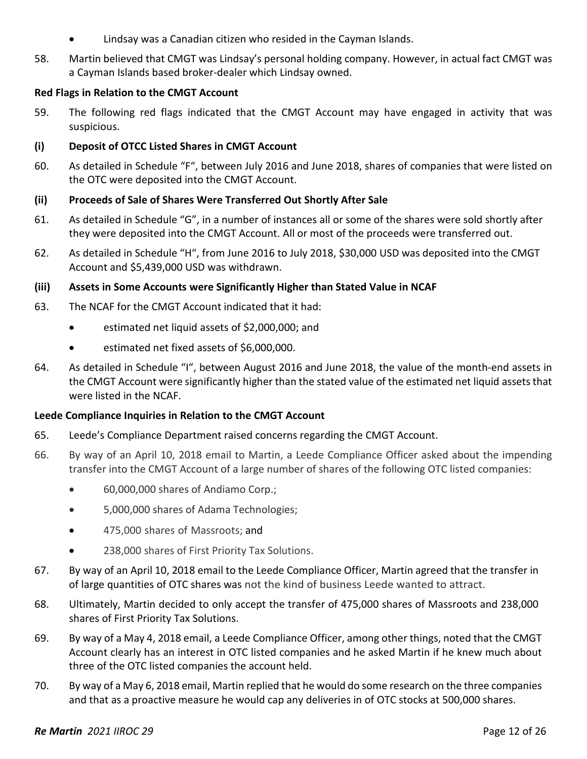- Lindsay was a Canadian citizen who resided in the Cayman Islands.
- 58. Martin believed that CMGT was Lindsay's personal holding company. However, in actual fact CMGT was a Cayman Islands based broker-dealer which Lindsay owned.

#### **Red Flags in Relation to the CMGT Account**

59. The following red flags indicated that the CMGT Account may have engaged in activity that was suspicious.

#### **(i) Deposit of OTCC Listed Shares in CMGT Account**

60. As detailed in Schedule "F", between July 2016 and June 2018, shares of companies that were listed on the OTC were deposited into the CMGT Account.

#### **(ii) Proceeds of Sale of Shares Were Transferred Out Shortly After Sale**

- 61. As detailed in Schedule "G", in a number of instances all or some of the shares were sold shortly after they were deposited into the CMGT Account. All or most of the proceeds were transferred out.
- 62. As detailed in Schedule "H", from June 2016 to July 2018, \$30,000 USD was deposited into the CMGT Account and \$5,439,000 USD was withdrawn.

#### **(iii) Assets in Some Accounts were Significantly Higher than Stated Value in NCAF**

- 63. The NCAF for the CMGT Account indicated that it had:
	- estimated net liquid assets of \$2,000,000; and
	- estimated net fixed assets of \$6,000,000.
- 64. As detailed in Schedule "I", between August 2016 and June 2018, the value of the month-end assets in the CMGT Account were significantly higher than the stated value of the estimated net liquid assets that were listed in the NCAF.

#### **Leede Compliance Inquiries in Relation to the CMGT Account**

- 65. Leede's Compliance Department raised concerns regarding the CMGT Account.
- 66. By way of an April 10, 2018 email to Martin, a Leede Compliance Officer asked about the impending transfer into the CMGT Account of a large number of shares of the following OTC listed companies:
	- 60,000,000 shares of Andiamo Corp.;
	- 5,000,000 shares of Adama Technologies;
	- 475,000 shares of Massroots; and
	- 238,000 shares of First Priority Tax Solutions.
- 67. By way of an April 10, 2018 email to the Leede Compliance Officer, Martin agreed that the transfer in of large quantities of OTC shares was not the kind of business Leede wanted to attract.
- 68. Ultimately, Martin decided to only accept the transfer of 475,000 shares of Massroots and 238,000 shares of First Priority Tax Solutions.
- 69. By way of a May 4, 2018 email, a Leede Compliance Officer, among other things, noted that the CMGT Account clearly has an interest in OTC listed companies and he asked Martin if he knew much about three of the OTC listed companies the account held.
- 70. By way of a May 6, 2018 email, Martin replied that he would do some research on the three companies and that as a proactive measure he would cap any deliveries in of OTC stocks at 500,000 shares.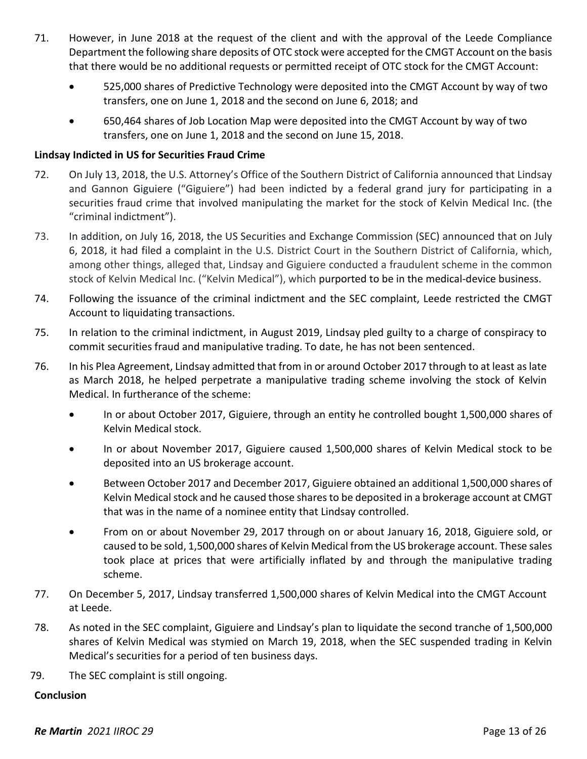- 71. However, in June 2018 at the request of the client and with the approval of the Leede Compliance Department the following share deposits of OTC stock were accepted for the CMGT Account on the basis that there would be no additional requests or permitted receipt of OTC stock for the CMGT Account:
	- 525,000 shares of Predictive Technology were deposited into the CMGT Account by way of two transfers, one on June 1, 2018 and the second on June 6, 2018; and
	- 650,464 shares of Job Location Map were deposited into the CMGT Account by way of two transfers, one on June 1, 2018 and the second on June 15, 2018.

#### **Lindsay Indicted in US for Securities Fraud Crime**

- 72. On July 13, 2018, the U.S. Attorney's Office of the Southern District of California announced that Lindsay and Gannon Giguiere ("Giguiere") had been indicted by a federal grand jury for participating in a securities fraud crime that involved manipulating the market for the stock of Kelvin Medical Inc. (the "criminal indictment").
- 73. In addition, on July 16, 2018, the US Securities and Exchange Commission (SEC) announced that on July 6, 2018, it had filed a complaint in the U.S. District Court in the Southern District of California, which, among other things, alleged that, Lindsay and Giguiere conducted a fraudulent scheme in the common stock of Kelvin Medical Inc. ("Kelvin Medical"), which purported to be in the medical-device business.
- 74. Following the issuance of the criminal indictment and the SEC complaint, Leede restricted the CMGT Account to liquidating transactions.
- 75. In relation to the criminal indictment, in August 2019, Lindsay pled guilty to a charge of conspiracy to commit securities fraud and manipulative trading. To date, he has not been sentenced.
- 76. In his Plea Agreement, Lindsay admitted that from in or around October 2017 through to at least as late as March 2018, he helped perpetrate a manipulative trading scheme involving the stock of Kelvin Medical. In furtherance of the scheme:
	- In or about October 2017, Giguiere, through an entity he controlled bought 1,500,000 shares of Kelvin Medical stock.
	- In or about November 2017, Giguiere caused 1,500,000 shares of Kelvin Medical stock to be deposited into an US brokerage account.
	- Between October 2017 and December 2017, Giguiere obtained an additional 1,500,000 shares of Kelvin Medical stock and he caused those shares to be deposited in a brokerage account at CMGT that was in the name of a nominee entity that Lindsay controlled.
	- From on or about November 29, 2017 through on or about January 16, 2018, Giguiere sold, or caused to be sold, 1,500,000 shares of Kelvin Medical from the US brokerage account. These sales took place at prices that were artificially inflated by and through the manipulative trading scheme.
- 77. On December 5, 2017, Lindsay transferred 1,500,000 shares of Kelvin Medical into the CMGT Account at Leede.
- 78. As noted in the SEC complaint, Giguiere and Lindsay's plan to liquidate the second tranche of 1,500,000 shares of Kelvin Medical was stymied on March 19, 2018, when the SEC suspended trading in Kelvin Medical's securities for a period of ten business days.
- 79. The SEC complaint is still ongoing.

#### **Conclusion**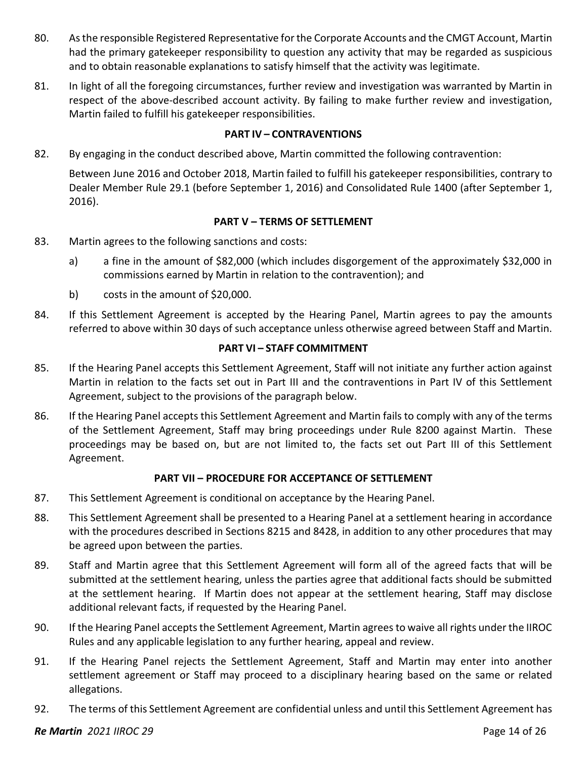- 80. As the responsible Registered Representative for the Corporate Accounts and the CMGT Account, Martin had the primary gatekeeper responsibility to question any activity that may be regarded as suspicious and to obtain reasonable explanations to satisfy himself that the activity was legitimate.
- 81. In light of all the foregoing circumstances, further review and investigation was warranted by Martin in respect of the above-described account activity. By failing to make further review and investigation, Martin failed to fulfill his gatekeeper responsibilities.

#### **PART IV – CONTRAVENTIONS**

82. By engaging in the conduct described above, Martin committed the following contravention:

Between June 2016 and October 2018, Martin failed to fulfill his gatekeeper responsibilities, contrary to Dealer Member Rule 29.1 (before September 1, 2016) and Consolidated Rule 1400 (after September 1, 2016).

#### **PART V – TERMS OF SETTLEMENT**

- 83. Martin agrees to the following sanctions and costs:
	- a) a fine in the amount of \$82,000 (which includes disgorgement of the approximately \$32,000 in commissions earned by Martin in relation to the contravention); and
	- b) costs in the amount of \$20,000.
- 84. If this Settlement Agreement is accepted by the Hearing Panel, Martin agrees to pay the amounts referred to above within 30 days of such acceptance unless otherwise agreed between Staff and Martin.

#### **PART VI – STAFF COMMITMENT**

- 85. If the Hearing Panel accepts this Settlement Agreement, Staff will not initiate any further action against Martin in relation to the facts set out in Part III and the contraventions in Part IV of this Settlement Agreement, subject to the provisions of the paragraph below.
- 86. If the Hearing Panel accepts this Settlement Agreement and Martin fails to comply with any of the terms of the Settlement Agreement, Staff may bring proceedings under Rule 8200 against Martin. These proceedings may be based on, but are not limited to, the facts set out Part III of this Settlement Agreement.

#### **PART VII – PROCEDURE FOR ACCEPTANCE OF SETTLEMENT**

- 87. This Settlement Agreement is conditional on acceptance by the Hearing Panel.
- 88. This Settlement Agreement shall be presented to a Hearing Panel at a settlement hearing in accordance with the procedures described in Sections 8215 and 8428, in addition to any other procedures that may be agreed upon between the parties.
- 89. Staff and Martin agree that this Settlement Agreement will form all of the agreed facts that will be submitted at the settlement hearing, unless the parties agree that additional facts should be submitted at the settlement hearing. If Martin does not appear at the settlement hearing, Staff may disclose additional relevant facts, if requested by the Hearing Panel.
- 90. If the Hearing Panel accepts the Settlement Agreement, Martin agrees to waive all rights under the IIROC Rules and any applicable legislation to any further hearing, appeal and review.
- 91. If the Hearing Panel rejects the Settlement Agreement, Staff and Martin may enter into another settlement agreement or Staff may proceed to a disciplinary hearing based on the same or related allegations.
- 92. The terms of this Settlement Agreement are confidential unless and until this Settlement Agreement has

#### *Re Martin 2021 IIROC 29* Page 14 of 26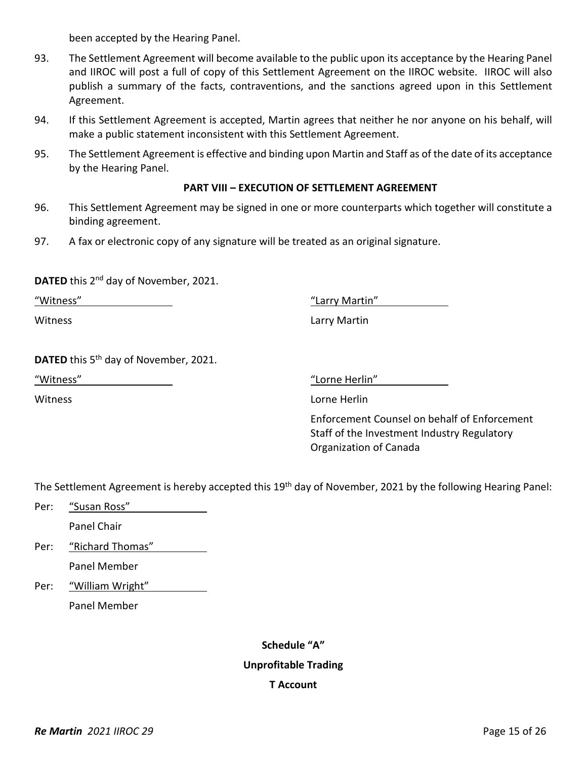been accepted by the Hearing Panel.

- 93. The Settlement Agreement will become available to the public upon its acceptance by the Hearing Panel and IIROC will post a full of copy of this Settlement Agreement on the IIROC website. IIROC will also publish a summary of the facts, contraventions, and the sanctions agreed upon in this Settlement Agreement.
- 94. If this Settlement Agreement is accepted, Martin agrees that neither he nor anyone on his behalf, will make a public statement inconsistent with this Settlement Agreement.
- 95. The Settlement Agreement is effective and binding upon Martin and Staff as of the date of its acceptance by the Hearing Panel.

#### **PART VIII – EXECUTION OF SETTLEMENT AGREEMENT**

- 96. This Settlement Agreement may be signed in one or more counterparts which together will constitute a binding agreement.
- 97. A fax or electronic copy of any signature will be treated as an original signature.

**DATED** this 2<sup>nd</sup> day of November, 2021.

"Witness" "Larry Martin"

Witness Larry Martin

**DATED** this 5<sup>th</sup> day of November, 2021.

"Witness" "Lorne Herlin"

Witness Lorne Herlin

Enforcement Counsel on behalf of Enforcement Staff of the Investment Industry Regulatory Organization of Canada

The Settlement Agreement is hereby accepted this 19<sup>th</sup> day of November, 2021 by the following Hearing Panel:

- Per: "Susan Ross" Panel Chair
- Per: "Richard Thomas" Panel Member
- Per: "William Wright" Panel Member

# **Schedule "A" Unprofitable Trading T Account**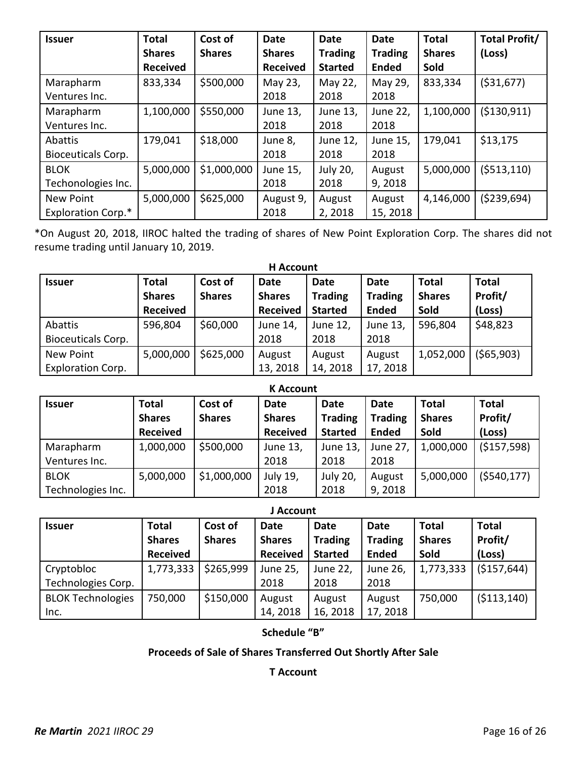| <b>Issuer</b>             | <b>Total</b>    | Cost of       | <b>Date</b>     | Date           | <b>Date</b>    | <b>Total</b>  | <b>Total Profit/</b> |
|---------------------------|-----------------|---------------|-----------------|----------------|----------------|---------------|----------------------|
|                           | <b>Shares</b>   | <b>Shares</b> | <b>Shares</b>   | <b>Trading</b> | <b>Trading</b> | <b>Shares</b> | (Loss)               |
|                           | <b>Received</b> |               | <b>Received</b> | <b>Started</b> | <b>Ended</b>   | Sold          |                      |
| Marapharm                 | 833,334         | \$500,000     | May 23,         | May 22,        | May 29,        | 833,334       | ( \$31,677)          |
| Ventures Inc.             |                 |               | 2018            | 2018           | 2018           |               |                      |
| Marapharm                 | 1,100,000       | \$550,000     | June 13,        | June 13,       | June 22,       | 1,100,000     | ( \$130, 911)        |
| Ventures Inc.             |                 |               | 2018            | 2018           | 2018           |               |                      |
| Abattis                   | 179,041         | \$18,000      | June 8,         | June 12,       | June 15,       | 179,041       | \$13,175             |
| <b>Bioceuticals Corp.</b> |                 |               | 2018            | 2018           | 2018           |               |                      |
| <b>BLOK</b>               | 5,000,000       | \$1,000,000   | June 15,        | July 20,       | August         | 5,000,000     | ( \$513, 110)        |
| Techonologies Inc.        |                 |               | 2018            | 2018           | 9,2018         |               |                      |
| <b>New Point</b>          | 5,000,000       | \$625,000     | August 9,       | August         | August         | 4,146,000     | (5239,694)           |
| <b>Exploration Corp.*</b> |                 |               | 2018            | 2,2018         | 15, 2018       |               |                      |

\*On August 20, 2018, IIROC halted the trading of shares of New Point Exploration Corp. The shares did not resume trading until January 10, 2019.

| <b>H</b> Account          |                 |               |                 |                |                |               |              |
|---------------------------|-----------------|---------------|-----------------|----------------|----------------|---------------|--------------|
| <b>Issuer</b>             | <b>Total</b>    | Cost of       | <b>Date</b>     | <b>Date</b>    | <b>Date</b>    | <b>Total</b>  | <b>Total</b> |
|                           | <b>Shares</b>   | <b>Shares</b> | <b>Shares</b>   | <b>Trading</b> | <b>Trading</b> | <b>Shares</b> | Profit/      |
|                           | <b>Received</b> |               | <b>Received</b> | <b>Started</b> | <b>Ended</b>   | Sold          | (Loss)       |
| Abattis                   | 596,804         | \$60,000      | June 14,        | June 12,       | June 13,       | 596,804       | \$48,823     |
| <b>Bioceuticals Corp.</b> |                 |               | 2018            | 2018           | 2018           |               |              |
| New Point                 | 5,000,000       | \$625,000     | August          | August         | August         | 1,052,000     | (\$65,903)   |
| <b>Exploration Corp.</b>  |                 |               | 13, 2018        | 14, 2018       | 17, 2018       |               |              |

| <b>K</b> Account  |                                                  |                          |                                                 |                                          |                                               |                                       |                                   |
|-------------------|--------------------------------------------------|--------------------------|-------------------------------------------------|------------------------------------------|-----------------------------------------------|---------------------------------------|-----------------------------------|
| <b>Issuer</b>     | <b>Total</b><br><b>Shares</b><br><b>Received</b> | Cost of<br><b>Shares</b> | <b>Date</b><br><b>Shares</b><br><b>Received</b> | Date<br><b>Trading</b><br><b>Started</b> | <b>Date</b><br><b>Trading</b><br><b>Ended</b> | <b>Total</b><br><b>Shares</b><br>Sold | <b>Total</b><br>Profit/<br>(Loss) |
| Marapharm         | 1,000,000                                        | \$500,000                | June 13,                                        | June 13,                                 | June 27,                                      | 1,000,000                             | (\$157,598)                       |
| Ventures Inc.     |                                                  |                          | 2018                                            | 2018                                     | 2018                                          |                                       |                                   |
| <b>BLOK</b>       | 5,000,000                                        | \$1,000,000              | July 19,                                        | July 20,                                 | August                                        | 5,000,000                             | (5540, 177)                       |
| Technologies Inc. |                                                  |                          | 2018                                            | 2018                                     | 9,2018                                        |                                       |                                   |

#### **J Account**

| <b>Issuer</b>            | <b>Total</b>    | Cost of       | <b>Date</b>     | <b>Date</b>    | <b>Date</b>    | <b>Total</b>  | <b>Total</b> |
|--------------------------|-----------------|---------------|-----------------|----------------|----------------|---------------|--------------|
|                          | <b>Shares</b>   | <b>Shares</b> | <b>Shares</b>   | <b>Trading</b> | <b>Trading</b> | <b>Shares</b> | Profit/      |
|                          | <b>Received</b> |               | <b>Received</b> | <b>Started</b> | <b>Ended</b>   | Sold          | (Loss)       |
| Cryptobloc               | 1,773,333       | \$265,999     | June 25,        | June 22,       | June 26,       | 1,773,333     | ( \$157,644) |
| Technologies Corp.       |                 |               | 2018            | 2018           | 2018           |               |              |
| <b>BLOK Technologies</b> | 750,000         | \$150,000     | August          | August         | August         | 750,000       | ( \$113,140) |
| Inc.                     |                 |               | 14, 2018        | 16, 2018       | 17, 2018       |               |              |

**Schedule "B"**

## **Proceeds of Sale of Shares Transferred Out Shortly After Sale**

**T Account**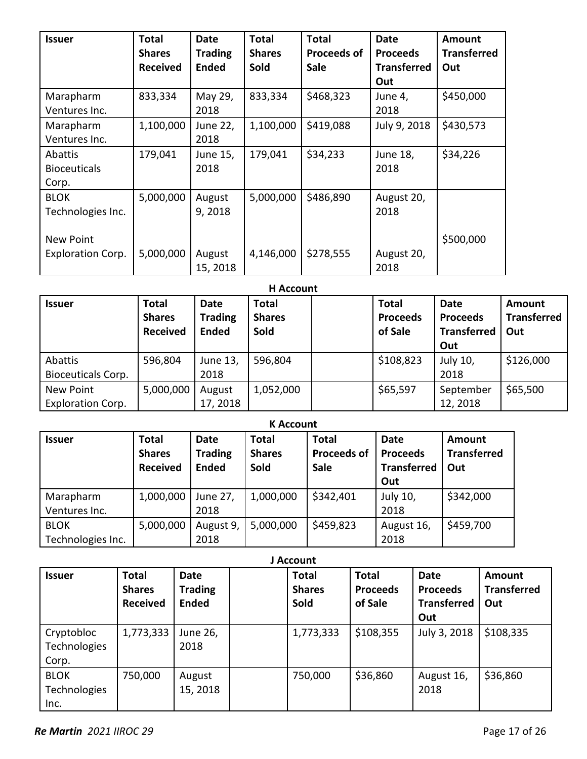| <b>Issuer</b>            | <b>Total</b>    | <b>Date</b>    | <b>Total</b>  | <b>Total</b>       | <b>Date</b>        | Amount             |
|--------------------------|-----------------|----------------|---------------|--------------------|--------------------|--------------------|
|                          | <b>Shares</b>   | <b>Trading</b> | <b>Shares</b> | <b>Proceeds of</b> | <b>Proceeds</b>    | <b>Transferred</b> |
|                          | <b>Received</b> | <b>Ended</b>   | <b>Sold</b>   | <b>Sale</b>        | <b>Transferred</b> | Out                |
|                          |                 |                |               |                    | Out                |                    |
| Marapharm                | 833,334         | May 29,        | 833,334       | \$468,323          | June 4,            | \$450,000          |
| Ventures Inc.            |                 | 2018           |               |                    | 2018               |                    |
| Marapharm                | 1,100,000       | June 22,       | 1,100,000     | \$419,088          | July 9, 2018       | \$430,573          |
| Ventures Inc.            |                 | 2018           |               |                    |                    |                    |
| Abattis                  | 179,041         | June 15,       | 179,041       | \$34,233           | June 18,           | \$34,226           |
| <b>Bioceuticals</b>      |                 | 2018           |               |                    | 2018               |                    |
| Corp.                    |                 |                |               |                    |                    |                    |
| <b>BLOK</b>              | 5,000,000       | August         | 5,000,000     | \$486,890          | August 20,         |                    |
| Technologies Inc.        |                 | 9,2018         |               |                    | 2018               |                    |
|                          |                 |                |               |                    |                    |                    |
| <b>New Point</b>         |                 |                |               |                    |                    | \$500,000          |
| <b>Exploration Corp.</b> | 5,000,000       | August         | 4,146,000     | \$278,555          | August 20,         |                    |
|                          |                 | 15, 2018       |               |                    | 2018               |                    |

#### **H Account**

| <b>Issuer</b>             | <b>Total</b><br><b>Shares</b><br><b>Received</b> | <b>Date</b><br><b>Trading</b><br><b>Ended</b> | <b>Total</b><br><b>Shares</b><br>Sold | <b>Total</b><br><b>Proceeds</b><br>of Sale | <b>Date</b><br><b>Proceeds</b><br><b>Transferred</b><br>Out | Amount<br><b>Transferred</b><br>  Out |
|---------------------------|--------------------------------------------------|-----------------------------------------------|---------------------------------------|--------------------------------------------|-------------------------------------------------------------|---------------------------------------|
| Abattis                   | 596,804                                          | June 13,                                      | 596,804                               | \$108,823                                  | July 10,                                                    | \$126,000                             |
| <b>Bioceuticals Corp.</b> |                                                  | 2018                                          |                                       |                                            | 2018                                                        |                                       |
| New Point                 | 5,000,000                                        | August                                        | 1,052,000                             | \$65,597                                   | September                                                   | \$65,500                              |
| <b>Exploration Corp.</b>  |                                                  | 17, 2018                                      |                                       |                                            | 12, 2018                                                    |                                       |

## **K Account**

| <b>Issuer</b>     | <b>Total</b><br><b>Shares</b><br><b>Received</b> | Date<br><b>Trading</b><br><b>Ended</b> | <b>Total</b><br><b>Shares</b><br>Sold | <b>Total</b><br><b>Proceeds of</b><br><b>Sale</b> | <b>Date</b><br><b>Proceeds</b><br><b>Transferred</b><br>Out | <b>Amount</b><br><b>Transferred</b><br>Out |
|-------------------|--------------------------------------------------|----------------------------------------|---------------------------------------|---------------------------------------------------|-------------------------------------------------------------|--------------------------------------------|
| Marapharm         | 1,000,000                                        | June 27,                               | 1,000,000                             | \$342,401                                         | July 10,                                                    | \$342,000                                  |
| Ventures Inc.     |                                                  | 2018                                   |                                       |                                                   | 2018                                                        |                                            |
| <b>BLOK</b>       | 5,000,000                                        | August 9,                              | 5,000,000                             | \$459,823                                         | August 16,                                                  | \$459,700                                  |
| Technologies Inc. |                                                  | 2018                                   |                                       |                                                   | 2018                                                        |                                            |

|                                     | J Account                                        |                                               |  |                                       |                                            |                                                             |                                            |  |  |
|-------------------------------------|--------------------------------------------------|-----------------------------------------------|--|---------------------------------------|--------------------------------------------|-------------------------------------------------------------|--------------------------------------------|--|--|
| <b>Issuer</b>                       | <b>Total</b><br><b>Shares</b><br><b>Received</b> | <b>Date</b><br><b>Trading</b><br><b>Ended</b> |  | <b>Total</b><br><b>Shares</b><br>Sold | <b>Total</b><br><b>Proceeds</b><br>of Sale | <b>Date</b><br><b>Proceeds</b><br><b>Transferred</b><br>Out | <b>Amount</b><br><b>Transferred</b><br>Out |  |  |
| Cryptobloc<br>Technologies<br>Corp. | 1,773,333                                        | June 26,<br>2018                              |  | 1,773,333                             | \$108,355                                  | July 3, 2018                                                | \$108,335                                  |  |  |
| <b>BLOK</b><br>Technologies<br>Inc. | 750,000                                          | August<br>15, 2018                            |  | 750,000                               | \$36,860                                   | August 16,<br>2018                                          | \$36,860                                   |  |  |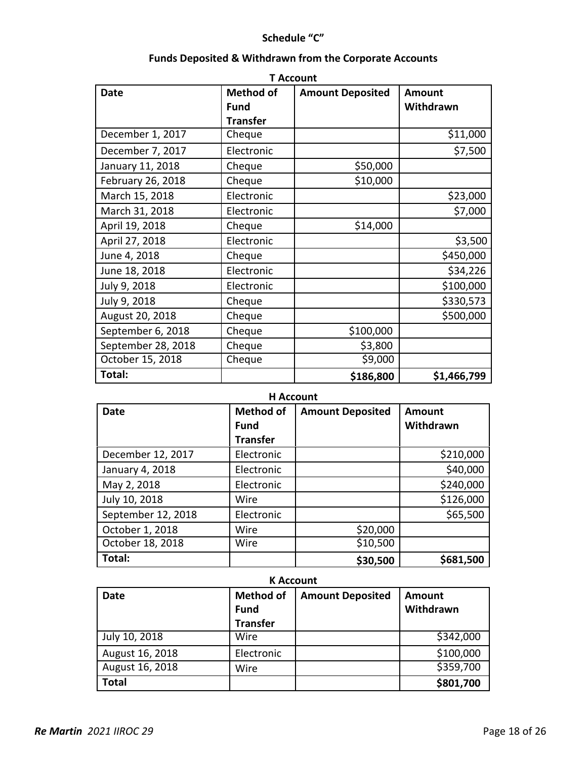## **Schedule "C"**

| <b>T</b> Account   |                  |                         |               |  |  |  |  |
|--------------------|------------------|-------------------------|---------------|--|--|--|--|
| <b>Date</b>        | <b>Method of</b> | <b>Amount Deposited</b> | <b>Amount</b> |  |  |  |  |
|                    | <b>Fund</b>      |                         | Withdrawn     |  |  |  |  |
|                    | <b>Transfer</b>  |                         |               |  |  |  |  |
| December 1, 2017   | Cheque           |                         | \$11,000      |  |  |  |  |
| December 7, 2017   | Electronic       |                         | \$7,500       |  |  |  |  |
| January 11, 2018   | Cheque           | \$50,000                |               |  |  |  |  |
| February 26, 2018  | Cheque           | \$10,000                |               |  |  |  |  |
| March 15, 2018     | Electronic       |                         | \$23,000      |  |  |  |  |
| March 31, 2018     | Electronic       |                         | \$7,000       |  |  |  |  |
| April 19, 2018     | Cheque           | \$14,000                |               |  |  |  |  |
| April 27, 2018     | Electronic       |                         | \$3,500       |  |  |  |  |
| June 4, 2018       | Cheque           |                         | \$450,000     |  |  |  |  |
| June 18, 2018      | Electronic       |                         | \$34,226      |  |  |  |  |
| July 9, 2018       | Electronic       |                         | \$100,000     |  |  |  |  |
| July 9, 2018       | Cheque           |                         | \$330,573     |  |  |  |  |
| August 20, 2018    | Cheque           |                         | \$500,000     |  |  |  |  |
| September 6, 2018  | Cheque           | \$100,000               |               |  |  |  |  |
| September 28, 2018 | Cheque           | \$3,800                 |               |  |  |  |  |
| October 15, 2018   | Cheque           | \$9,000                 |               |  |  |  |  |
| Total:             |                  | \$186,800               | \$1,466,799   |  |  |  |  |

## **Funds Deposited & Withdrawn from the Corporate Accounts**

## **H Account**

| <b>Date</b>        | <b>Method of</b> | <b>Amount Deposited</b> | Amount    |
|--------------------|------------------|-------------------------|-----------|
|                    | Fund             |                         | Withdrawn |
|                    | <b>Transfer</b>  |                         |           |
| December 12, 2017  | Electronic       |                         | \$210,000 |
| January 4, 2018    | Electronic       |                         | \$40,000  |
| May 2, 2018        | Electronic       |                         | \$240,000 |
| July 10, 2018      | Wire             |                         | \$126,000 |
| September 12, 2018 | Electronic       |                         | \$65,500  |
| October 1, 2018    | Wire             | \$20,000                |           |
| October 18, 2018   | Wire             | \$10,500                |           |
| Total:             |                  | \$30,500                | \$681,500 |

#### **K Account**

| <b>Date</b>     | <b>Method of</b> | <b>Amount Deposited</b> | Amount    |
|-----------------|------------------|-------------------------|-----------|
|                 | <b>Fund</b>      |                         | Withdrawn |
|                 | <b>Transfer</b>  |                         |           |
| July 10, 2018   | Wire             |                         | \$342,000 |
| August 16, 2018 | Electronic       |                         | \$100,000 |
| August 16, 2018 | Wire             |                         | \$359,700 |
| <b>Total</b>    |                  |                         | \$801,700 |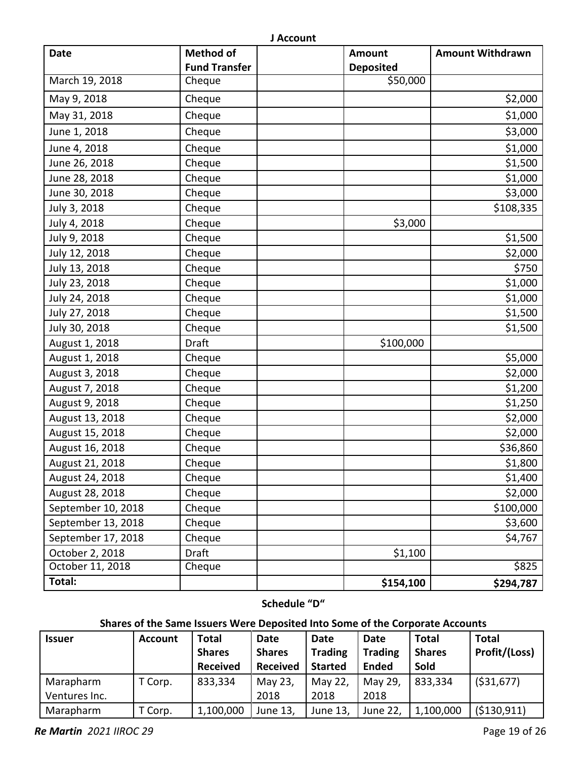| <b>Date</b>        | <b>Method of</b>     | <b>Amount</b>    | <b>Amount Withdrawn</b> |
|--------------------|----------------------|------------------|-------------------------|
|                    | <b>Fund Transfer</b> | <b>Deposited</b> |                         |
| March 19, 2018     | Cheque               | \$50,000         |                         |
| May 9, 2018        | Cheque               |                  | \$2,000                 |
| May 31, 2018       | Cheque               |                  | \$1,000                 |
| June 1, 2018       | Cheque               |                  | \$3,000                 |
| June 4, 2018       | Cheque               |                  | \$1,000                 |
| June 26, 2018      | Cheque               |                  | \$1,500                 |
| June 28, 2018      | Cheque               |                  | \$1,000                 |
| June 30, 2018      | Cheque               |                  | \$3,000                 |
| July 3, 2018       | Cheque               |                  | \$108,335               |
| July 4, 2018       | Cheque               | \$3,000          |                         |
| July 9, 2018       | Cheque               |                  | \$1,500                 |
| July 12, 2018      | Cheque               |                  | \$2,000                 |
| July 13, 2018      | Cheque               |                  | \$750                   |
| July 23, 2018      | Cheque               |                  | \$1,000                 |
| July 24, 2018      | Cheque               |                  | \$1,000                 |
| July 27, 2018      | Cheque               |                  | \$1,500                 |
| July 30, 2018      | Cheque               |                  | \$1,500                 |
| August 1, 2018     | Draft                | \$100,000        |                         |
| August 1, 2018     | Cheque               |                  | \$5,000                 |
| August 3, 2018     | Cheque               |                  | \$2,000                 |
| August 7, 2018     | Cheque               |                  | \$1,200                 |
| August 9, 2018     | Cheque               |                  | \$1,250                 |
| August 13, 2018    | Cheque               |                  | \$2,000                 |
| August 15, 2018    | Cheque               |                  | \$2,000                 |
| August 16, 2018    | Cheque               |                  | \$36,860                |
| August 21, 2018    | Cheque               |                  | \$1,800                 |
| August 24, 2018    | Cheque               |                  | \$1,400                 |
| August 28, 2018    | Cheque               |                  | \$2,000                 |
| September 10, 2018 | Cheque               |                  | \$100,000               |
| September 13, 2018 | Cheque               |                  | \$3,600                 |
| September 17, 2018 | Cheque               |                  | \$4,767                 |
| October 2, 2018    | <b>Draft</b>         | \$1,100          |                         |
| October 11, 2018   | Cheque               |                  | \$825                   |
| Total:             |                      | \$154,100        | \$294,787               |

**Schedule "D"**

# **Shares of the Same Issuers Were Deposited Into Some of the Corporate Accounts**

| <b>Issuer</b> | <b>Account</b> | Total           | Date            | Date           | Date           | Total         | <b>Total</b>  |
|---------------|----------------|-----------------|-----------------|----------------|----------------|---------------|---------------|
|               |                | <b>Shares</b>   | <b>Shares</b>   | <b>Trading</b> | <b>Trading</b> | <b>Shares</b> | Profit/(Loss) |
|               |                | <b>Received</b> | <b>Received</b> | <b>Started</b> | <b>Ended</b>   | Sold          |               |
| Marapharm     | T Corp.        | 833,334         | May 23,         | May 22,        | May 29,        | 833,334       | ( \$31,677)   |
| Ventures Inc. |                |                 | 2018            | 2018           | 2018           |               |               |
| Marapharm     | Г Corp.        | 1,100,000       | June 13,        | June 13,       | June 22,       | 1,100,000     | ( \$130, 911) |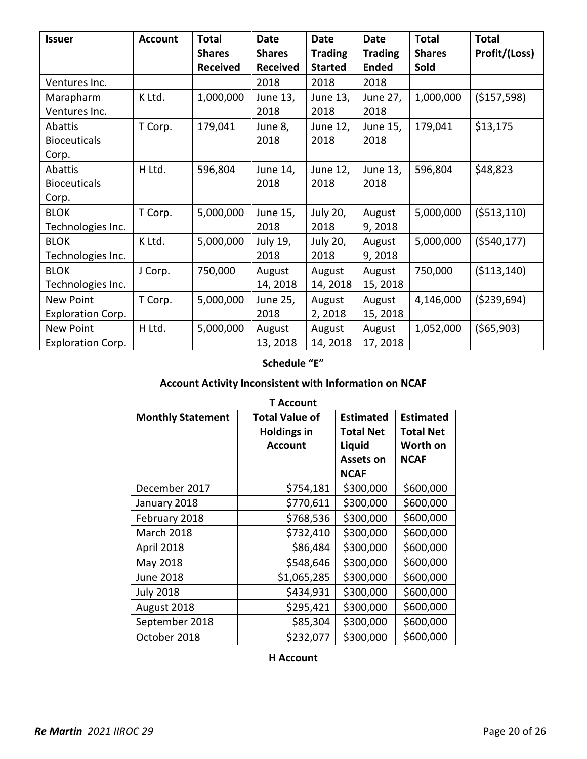| <b>Issuer</b>            | <b>Account</b> | <b>Total</b>    | <b>Date</b>     | <b>Date</b>    | <b>Date</b>    | <b>Total</b>  | <b>Total</b>  |
|--------------------------|----------------|-----------------|-----------------|----------------|----------------|---------------|---------------|
|                          |                | <b>Shares</b>   | <b>Shares</b>   | <b>Trading</b> | <b>Trading</b> | <b>Shares</b> | Profit/(Loss) |
|                          |                | <b>Received</b> | <b>Received</b> | <b>Started</b> | <b>Ended</b>   | Sold          |               |
| Ventures Inc.            |                |                 | 2018            | 2018           | 2018           |               |               |
| Marapharm                | K Ltd.         | 1,000,000       | June 13,        | June 13,       | June 27,       | 1,000,000     | ( \$157, 598) |
| Ventures Inc.            |                |                 | 2018            | 2018           | 2018           |               |               |
| Abattis                  | T Corp.        | 179,041         | June 8,         | June 12,       | June 15,       | 179,041       | \$13,175      |
| <b>Bioceuticals</b>      |                |                 | 2018            | 2018           | 2018           |               |               |
| Corp.                    |                |                 |                 |                |                |               |               |
| Abattis                  | H Ltd.         | 596,804         | June 14,        | June 12,       | June 13,       | 596,804       | \$48,823      |
| <b>Bioceuticals</b>      |                |                 | 2018            | 2018           | 2018           |               |               |
| Corp.                    |                |                 |                 |                |                |               |               |
| <b>BLOK</b>              | T Corp.        | 5,000,000       | June 15,        | July 20,       | August         | 5,000,000     | (5513, 110)   |
| Technologies Inc.        |                |                 | 2018            | 2018           | 9,2018         |               |               |
| <b>BLOK</b>              | K Ltd.         | 5,000,000       | July 19,        | July 20,       | August         | 5,000,000     | ( \$540, 177) |
| Technologies Inc.        |                |                 | 2018            | 2018           | 9,2018         |               |               |
| <b>BLOK</b>              | J Corp.        | 750,000         | August          | August         | August         | 750,000       | ( \$113,140)  |
| Technologies Inc.        |                |                 | 14, 2018        | 14, 2018       | 15, 2018       |               |               |
| New Point                | T Corp.        | 5,000,000       | June 25,        | August         | August         | 4,146,000     | ( \$239,694)  |
| <b>Exploration Corp.</b> |                |                 | 2018            | 2,2018         | 15, 2018       |               |               |
| <b>New Point</b>         | H Ltd.         | 5,000,000       | August          | August         | August         | 1,052,000     | (565,903)     |
| <b>Exploration Corp.</b> |                |                 | 13, 2018        | 14, 2018       | 17, 2018       |               |               |

# **Schedule "E"**

# **Account Activity Inconsistent with Information on NCAF**

| <b>Monthly Statement</b> | <b>Total Value of</b> | <b>Estimated</b> | <b>Estimated</b> |
|--------------------------|-----------------------|------------------|------------------|
|                          | <b>Holdings in</b>    |                  | <b>Total Net</b> |
|                          | <b>Account</b>        | Liquid           | Worth on         |
|                          |                       | Assets on        | <b>NCAF</b>      |
|                          |                       | <b>NCAF</b>      |                  |
| December 2017            | \$754,181             | \$300,000        | \$600,000        |
| January 2018             | \$770,611             | \$300,000        | \$600,000        |
| February 2018            | \$768,536             | \$300,000        | \$600,000        |
| <b>March 2018</b>        | \$732,410             | \$300,000        | \$600,000        |
| April 2018               | \$86,484              | \$300,000        | \$600,000        |
| May 2018                 | \$548,646             | \$300,000        | \$600,000        |
| June 2018                | \$1,065,285           | \$300,000        | \$600,000        |
| <b>July 2018</b>         | \$434,931             | \$300,000        | \$600,000        |
| August 2018              | \$295,421             | \$300,000        | \$600,000        |
| September 2018           | \$85,304              | \$300,000        | \$600,000        |
| October 2018             | \$232,077             | \$300,000        | \$600,000        |

#### **H Account**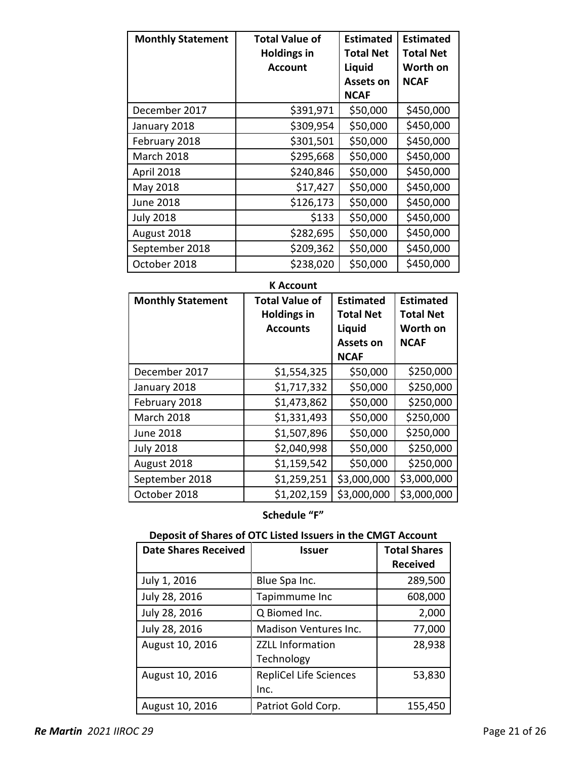| <b>Monthly Statement</b> | <b>Total Value of</b> | <b>Estimated</b> | <b>Estimated</b> |
|--------------------------|-----------------------|------------------|------------------|
|                          | <b>Holdings in</b>    | <b>Total Net</b> | <b>Total Net</b> |
|                          | <b>Account</b>        | Liquid           | Worth on         |
|                          |                       | <b>Assets on</b> | <b>NCAF</b>      |
|                          |                       | <b>NCAF</b>      |                  |
| December 2017            | \$391,971             | \$50,000         | \$450,000        |
| January 2018             | \$309,954             | \$50,000         | \$450,000        |
| February 2018            | \$301,501             | \$50,000         | \$450,000        |
| <b>March 2018</b>        | \$295,668             | \$50,000         | \$450,000        |
| April 2018               | \$240,846             | \$50,000         | \$450,000        |
| May 2018                 | \$17,427              | \$50,000         | \$450,000        |
| <b>June 2018</b>         | \$126,173             | \$50,000         | \$450,000        |
| <b>July 2018</b>         | \$133                 | \$50,000         | \$450,000        |
| August 2018              | \$282,695             | \$50,000         | \$450,000        |
| September 2018           | \$209,362             | \$50,000         | \$450,000        |
| October 2018             | \$238,020             | \$50,000         | \$450,000        |

| <b>Monthly Statement</b> | <b>Total Value of</b><br><b>Holdings in</b><br><b>Accounts</b> | <b>Estimated</b><br><b>Total Net</b><br>Liquid<br><b>Assets on</b><br><b>NCAF</b> | <b>Estimated</b><br><b>Total Net</b><br>Worth on<br><b>NCAF</b> |
|--------------------------|----------------------------------------------------------------|-----------------------------------------------------------------------------------|-----------------------------------------------------------------|
| December 2017            | \$1,554,325                                                    | \$50,000                                                                          | \$250,000                                                       |
| January 2018             | \$1,717,332                                                    | \$50,000                                                                          | \$250,000                                                       |
| February 2018            | \$1,473,862                                                    | \$50,000                                                                          | \$250,000                                                       |
| <b>March 2018</b>        | \$1,331,493                                                    | \$50,000                                                                          | \$250,000                                                       |
| <b>June 2018</b>         | \$1,507,896                                                    | \$50,000                                                                          | \$250,000                                                       |
| <b>July 2018</b>         | \$2,040,998                                                    | \$50,000                                                                          | \$250,000                                                       |
| August 2018              | \$1,159,542                                                    | \$50,000                                                                          | \$250,000                                                       |
| September 2018           | \$1,259,251                                                    | \$3,000,000                                                                       | \$3,000,000                                                     |
| October 2018             | \$1,202,159                                                    | \$3,000,000                                                                       | \$3,000,000                                                     |

# **Schedule "F"**

## **Deposit of Shares of OTC Listed Issuers in the CMGT Account**

| <b>Date Shares Received</b> | <b>Issuer</b>           | <b>Total Shares</b> |
|-----------------------------|-------------------------|---------------------|
|                             |                         | <b>Received</b>     |
| July 1, 2016                | Blue Spa Inc.           | 289,500             |
| July 28, 2016               | Tapimmume Inc           | 608,000             |
| July 28, 2016               | Q Biomed Inc.           | 2,000               |
| July 28, 2016               | Madison Ventures Inc.   | 77,000              |
| August 10, 2016             | <b>ZZLL Information</b> | 28,938              |
|                             | Technology              |                     |
| August 10, 2016             | RepliCel Life Sciences  | 53,830              |
|                             | Inc.                    |                     |
| August 10, 2016             | Patriot Gold Corp.      | 155,450             |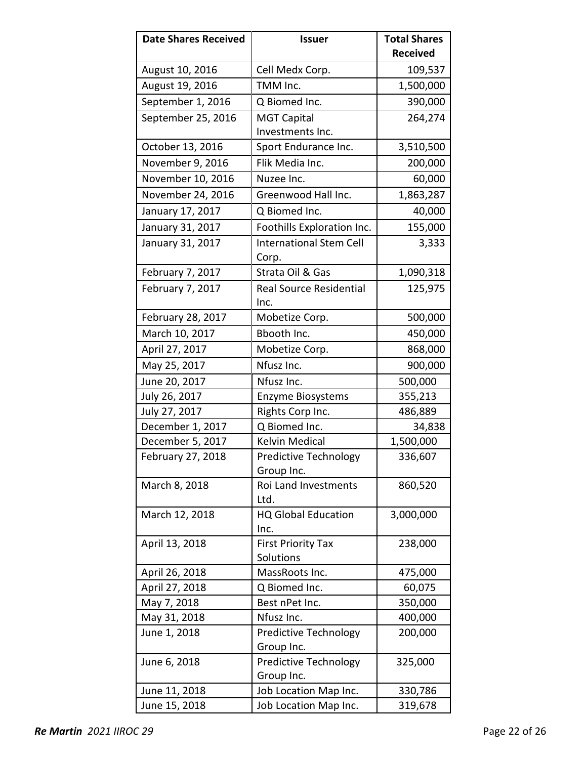| <b>Date Shares Received</b> | <b>Issuer</b>                  | <b>Total Shares</b> |
|-----------------------------|--------------------------------|---------------------|
|                             |                                | <b>Received</b>     |
| August 10, 2016             | Cell Medx Corp.                | 109,537             |
| August 19, 2016             | TMM Inc.                       | 1,500,000           |
| September 1, 2016           | Q Biomed Inc.                  | 390,000             |
| September 25, 2016          | <b>MGT Capital</b>             | 264,274             |
|                             | Investments Inc.               |                     |
| October 13, 2016            | Sport Endurance Inc.           | 3,510,500           |
| November 9, 2016            | Flik Media Inc.                | 200,000             |
| November 10, 2016           | Nuzee Inc.                     | 60,000              |
| November 24, 2016           | Greenwood Hall Inc.            | 1,863,287           |
| January 17, 2017            | Q Biomed Inc.                  | 40,000              |
| January 31, 2017            | Foothills Exploration Inc.     | 155,000             |
| January 31, 2017            | <b>International Stem Cell</b> | 3,333               |
|                             | Corp.                          |                     |
| February 7, 2017            | Strata Oil & Gas               | 1,090,318           |
| February 7, 2017            | <b>Real Source Residential</b> | 125,975             |
|                             | Inc.                           |                     |
| February 28, 2017           | Mobetize Corp.                 | 500,000             |
| March 10, 2017              | Bbooth Inc.                    | 450,000             |
| April 27, 2017              | Mobetize Corp.                 | 868,000             |
| May 25, 2017                | Nfusz Inc.                     | 900,000             |
| June 20, 2017               | Nfusz Inc.                     | 500,000             |
| July 26, 2017               | Enzyme Biosystems              | 355,213             |
| July 27, 2017               | Rights Corp Inc.               | 486,889             |
| December 1, 2017            | Q Biomed Inc.                  | 34,838              |
| December 5, 2017            | <b>Kelvin Medical</b>          | 1,500,000           |
| February 27, 2018           | Predictive Technology          | 336,607             |
|                             | Group Inc.                     |                     |
| March 8, 2018               | Roi Land Investments<br>Ltd.   | 860,520             |
| March 12, 2018              | <b>HQ Global Education</b>     | 3,000,000           |
|                             | Inc.                           |                     |
| April 13, 2018              | <b>First Priority Tax</b>      | 238,000             |
|                             | Solutions                      |                     |
| April 26, 2018              | MassRoots Inc.                 | 475,000             |
| April 27, 2018              | Q Biomed Inc.                  | 60,075              |
| May 7, 2018                 | Best nPet Inc.                 | 350,000             |
| May 31, 2018                | Nfusz Inc.                     | 400,000             |
| June 1, 2018                | <b>Predictive Technology</b>   | 200,000             |
|                             | Group Inc.                     |                     |
| June 6, 2018                | <b>Predictive Technology</b>   | 325,000             |
|                             | Group Inc.                     |                     |
| June 11, 2018               | Job Location Map Inc.          | 330,786             |
| June 15, 2018               | Job Location Map Inc.          | 319,678             |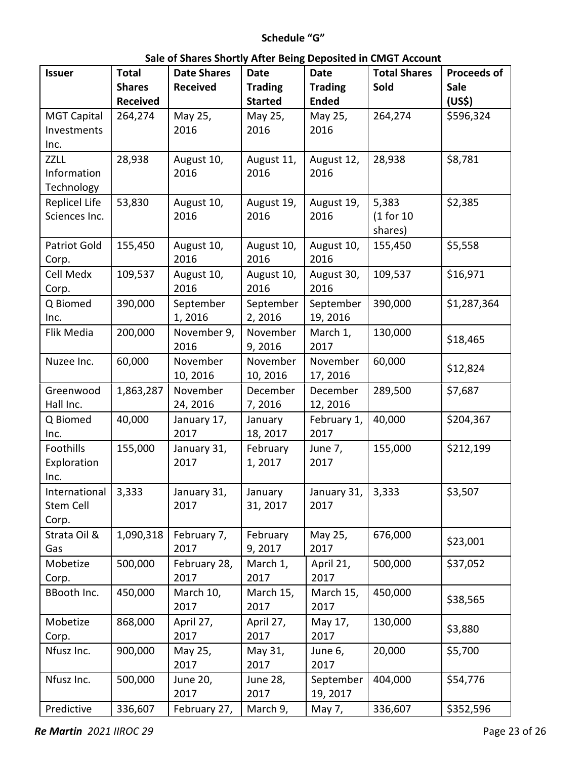# **Schedule "G"**

| <b>Issuer</b>        | <b>Total</b>    | <b>Date Shares</b>  | <b>Date</b>         | <b>Date</b>          | <b>Total Shares</b> | <b>Proceeds of</b> |
|----------------------|-----------------|---------------------|---------------------|----------------------|---------------------|--------------------|
|                      | <b>Shares</b>   | <b>Received</b>     | <b>Trading</b>      | <b>Trading</b>       | Sold                | <b>Sale</b>        |
|                      | <b>Received</b> |                     | <b>Started</b>      | <b>Ended</b>         |                     | (US\$)             |
| <b>MGT Capital</b>   | 264,274         | May 25,             | May 25,             | May 25,              | 264,274             | \$596,324          |
| Investments          |                 | 2016                | 2016                | 2016                 |                     |                    |
| Inc.                 |                 |                     |                     |                      |                     |                    |
| <b>ZZLL</b>          | 28,938          | August 10,          | August 11,          | August 12,           | 28,938              | \$8,781            |
| Information          |                 | 2016                | 2016                | 2016                 |                     |                    |
| Technology           |                 |                     |                     |                      |                     |                    |
| <b>Replicel Life</b> | 53,830          | August 10,          | August 19,          | August 19,           | 5,383               | \$2,385            |
| Sciences Inc.        |                 | 2016                | 2016                | 2016                 | (1 for 10)          |                    |
|                      |                 |                     |                     |                      | shares)             |                    |
| <b>Patriot Gold</b>  | 155,450         | August 10,          | August 10,          | August 10,           | 155,450             | \$5,558            |
| Corp.                |                 | 2016                | 2016                | 2016                 |                     |                    |
| Cell Medx            | 109,537         | August 10,          | August 10,          | August 30,           | 109,537             | \$16,971           |
| Corp.                |                 | 2016                | 2016                | 2016                 |                     |                    |
| Q Biomed             | 390,000         | September<br>1,2016 | September<br>2,2016 | September            | 390,000             | \$1,287,364        |
| Inc.<br>Flik Media   | 200,000         | November 9,         | November            | 19, 2016<br>March 1, | 130,000             |                    |
|                      |                 | 2016                | 9,2016              | 2017                 |                     | \$18,465           |
| Nuzee Inc.           | 60,000          | November            | November            | November             | 60,000              |                    |
|                      |                 | 10, 2016            | 10, 2016            | 17, 2016             |                     | \$12,824           |
| Greenwood            | 1,863,287       | November            | December            | December             | 289,500             | \$7,687            |
| Hall Inc.            |                 | 24, 2016            | 7,2016              | 12, 2016             |                     |                    |
| Q Biomed             | 40,000          | January 17,         | January             | February 1,          | 40,000              | \$204,367          |
| Inc.                 |                 | 2017                | 18, 2017            | 2017                 |                     |                    |
| Foothills            | 155,000         | January 31,         | February            | June 7,              | 155,000             | \$212,199          |
| Exploration          |                 | 2017                | 1,2017              | 2017                 |                     |                    |
| Inc.                 |                 |                     |                     |                      |                     |                    |
| International        | 3,333           | January 31,         | January             | January 31,          | 3,333               | \$3,507            |
| Stem Cell            |                 | 2017                | 31, 2017            | 2017                 |                     |                    |
| Corp.                |                 |                     |                     |                      |                     |                    |
| Strata Oil &         | 1,090,318       | February 7,         | February            | May 25,              | 676,000             | \$23,001           |
| Gas                  |                 | 2017                | 9,2017              | 2017                 |                     |                    |
| Mobetize             | 500,000         | February 28,        | March 1,            | April 21,            | 500,000             | \$37,052           |
| Corp.                |                 | 2017                | 2017                | 2017                 |                     |                    |
| BBooth Inc.          | 450,000         | March 10,           | March 15,           | March 15,            | 450,000             | \$38,565           |
|                      |                 | 2017                | 2017                | 2017                 |                     |                    |
| Mobetize             | 868,000         | April 27,           | April 27,           | May 17,              | 130,000             | \$3,880            |
| Corp.                |                 | 2017                | 2017                | 2017                 |                     |                    |
| Nfusz Inc.           | 900,000         | May 25,             | May 31,             | June 6,              | 20,000              | \$5,700            |
|                      |                 | 2017                | 2017                | 2017                 |                     |                    |
| Nfusz Inc.           | 500,000         | June 20,            | June 28,            | September            | 404,000             | \$54,776           |
|                      |                 | 2017                | 2017                | 19, 2017             |                     |                    |
| Predictive           | 336,607         | February 27,        | March 9,            | May 7,               | 336,607             | \$352,596          |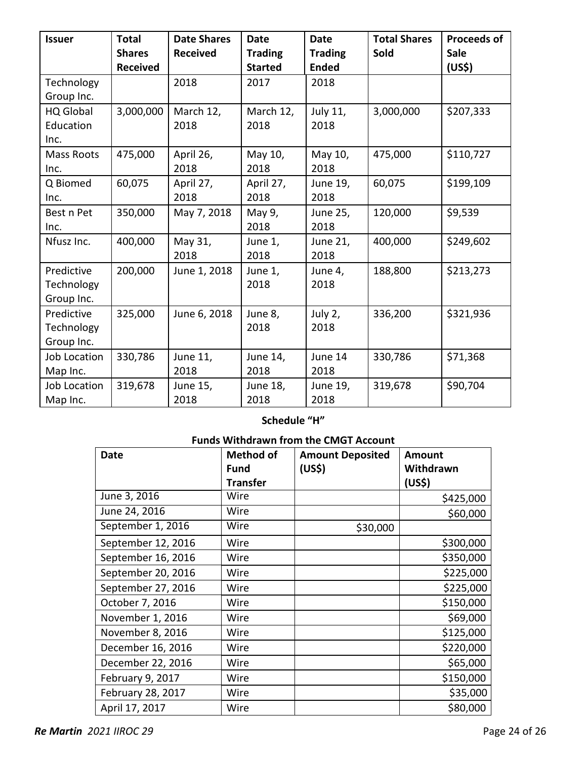| <b>Issuer</b>                          | <b>Total</b><br><b>Shares</b><br><b>Received</b> | <b>Date Shares</b><br><b>Received</b> | <b>Date</b><br><b>Trading</b><br><b>Started</b> | <b>Date</b><br><b>Trading</b><br><b>Ended</b> | <b>Total Shares</b><br>Sold | <b>Proceeds of</b><br><b>Sale</b> |
|----------------------------------------|--------------------------------------------------|---------------------------------------|-------------------------------------------------|-----------------------------------------------|-----------------------------|-----------------------------------|
| Technology<br>Group Inc.               |                                                  | 2018                                  | 2017                                            | 2018                                          |                             | (US\$)                            |
| <b>HQ Global</b><br>Education<br>Inc.  | 3,000,000                                        | March 12,<br>2018                     | March 12,<br>2018                               | July 11,<br>2018                              | 3,000,000                   | \$207,333                         |
| <b>Mass Roots</b><br>Inc.              | 475,000                                          | April 26,<br>2018                     | May 10,<br>2018                                 | May 10,<br>2018                               | 475,000                     | \$110,727                         |
| Q Biomed<br>Inc.                       | 60,075                                           | April 27,<br>2018                     | April 27,<br>2018                               | June 19,<br>2018                              | 60,075                      | \$199,109                         |
| Best n Pet<br>Inc.                     | 350,000                                          | May 7, 2018                           | May 9,<br>2018                                  | June 25,<br>2018                              | 120,000                     | \$9,539                           |
| Nfusz Inc.                             | 400,000                                          | May 31,<br>2018                       | June 1,<br>2018                                 | June 21,<br>2018                              | 400,000                     | \$249,602                         |
| Predictive<br>Technology<br>Group Inc. | 200,000                                          | June 1, 2018                          | June 1,<br>2018                                 | June 4,<br>2018                               | 188,800                     | \$213,273                         |
| Predictive<br>Technology<br>Group Inc. | 325,000                                          | June 6, 2018                          | June 8,<br>2018                                 | July 2,<br>2018                               | 336,200                     | \$321,936                         |
| Job Location<br>Map Inc.               | 330,786                                          | June 11,<br>2018                      | June 14,<br>2018                                | June 14<br>2018                               | 330,786                     | \$71,368                          |
| Job Location<br>Map Inc.               | 319,678                                          | June 15,<br>2018                      | June 18,<br>2018                                | June 19,<br>2018                              | 319,678                     | \$90,704                          |

# **Schedule "H"**

# **Funds Withdrawn from the CMGT Account**

| <b>Date</b>        | Method of       | <b>Amount Deposited</b> | <b>Amount</b> |
|--------------------|-----------------|-------------------------|---------------|
|                    | Fund            | (US\$)                  | Withdrawn     |
|                    | <b>Transfer</b> |                         | (US\$)        |
| June 3, 2016       | Wire            |                         | \$425,000     |
| June 24, 2016      | Wire            |                         | \$60,000      |
| September 1, 2016  | Wire            | \$30,000                |               |
| September 12, 2016 | Wire            |                         | \$300,000     |
| September 16, 2016 | Wire            |                         | \$350,000     |
| September 20, 2016 | Wire            |                         | \$225,000     |
| September 27, 2016 | Wire            |                         | \$225,000     |
| October 7, 2016    | Wire            |                         | \$150,000     |
| November 1, 2016   | Wire            |                         | \$69,000      |
| November 8, 2016   | Wire            |                         | \$125,000     |
| December 16, 2016  | Wire            |                         | \$220,000     |
| December 22, 2016  | Wire            |                         | \$65,000      |
| February 9, 2017   | Wire            |                         | \$150,000     |
| February 28, 2017  | Wire            |                         | \$35,000      |
| April 17, 2017     | Wire            |                         | \$80,000      |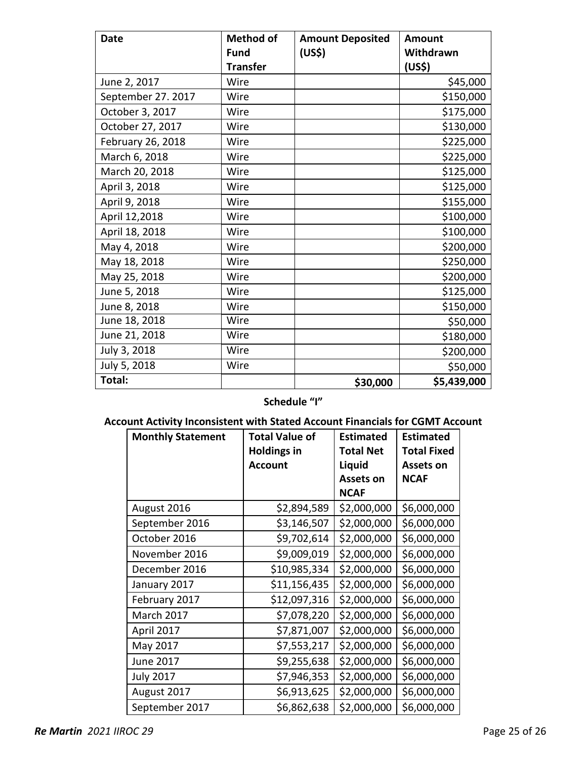| <b>Date</b>        | <b>Method of</b><br><b>Fund</b><br><b>Transfer</b> | <b>Amount Deposited</b><br>(US\$) | Amount<br>Withdrawn<br>(US\$) |
|--------------------|----------------------------------------------------|-----------------------------------|-------------------------------|
| June 2, 2017       | Wire                                               |                                   | \$45,000                      |
| September 27. 2017 | Wire                                               |                                   | \$150,000                     |
| October 3, 2017    | Wire                                               |                                   | \$175,000                     |
| October 27, 2017   | Wire                                               |                                   | \$130,000                     |
| February 26, 2018  | Wire                                               |                                   | \$225,000                     |
| March 6, 2018      | Wire                                               |                                   | \$225,000                     |
| March 20, 2018     | Wire                                               |                                   | \$125,000                     |
| April 3, 2018      | Wire                                               |                                   | \$125,000                     |
| April 9, 2018      | Wire                                               |                                   | \$155,000                     |
| April 12,2018      | Wire                                               |                                   | \$100,000                     |
| April 18, 2018     | Wire                                               |                                   | \$100,000                     |
| May 4, 2018        | Wire                                               |                                   | \$200,000                     |
| May 18, 2018       | Wire                                               |                                   | \$250,000                     |
| May 25, 2018       | Wire                                               |                                   | \$200,000                     |
| June 5, 2018       | Wire                                               |                                   | \$125,000                     |
| June 8, 2018       | Wire                                               |                                   | \$150,000                     |
| June 18, 2018      | Wire                                               |                                   | \$50,000                      |
| June 21, 2018      | Wire                                               |                                   | \$180,000                     |
| July 3, 2018       | Wire                                               |                                   | \$200,000                     |
| July 5, 2018       | Wire                                               |                                   | \$50,000                      |
| Total:             |                                                    | \$30,000                          | \$5,439,000                   |

# **Schedule "I"**

# **Account Activity Inconsistent with Stated Account Financials for CGMT Account**

| <b>Monthly Statement</b> | <b>Total Value of</b><br><b>Holdings in</b> | <b>Estimated</b><br><b>Total Net</b>      | <b>Estimated</b><br><b>Total Fixed</b> |
|--------------------------|---------------------------------------------|-------------------------------------------|----------------------------------------|
|                          | <b>Account</b>                              | Liquid<br><b>Assets on</b><br><b>NCAF</b> | <b>Assets on</b><br><b>NCAF</b>        |
| August 2016              | \$2,894,589                                 | \$2,000,000                               | \$6,000,000                            |
| September 2016           | \$3,146,507                                 | \$2,000,000                               | \$6,000,000                            |
| October 2016             | \$9,702,614                                 | \$2,000,000                               | \$6,000,000                            |
| November 2016            | \$9,009,019                                 | \$2,000,000                               | \$6,000,000                            |
| December 2016            | \$10,985,334                                | \$2,000,000                               | \$6,000,000                            |
| January 2017             | \$11,156,435                                | \$2,000,000                               | \$6,000,000                            |
| February 2017            | \$12,097,316                                | \$2,000,000                               | \$6,000,000                            |
| March 2017               | \$7,078,220                                 | \$2,000,000                               | \$6,000,000                            |
| April 2017               | \$7,871,007                                 | \$2,000,000                               | \$6,000,000                            |
| May 2017                 | \$7,553,217                                 | \$2,000,000                               | \$6,000,000                            |
| June 2017                | \$9,255,638                                 | \$2,000,000                               | \$6,000,000                            |
| <b>July 2017</b>         | \$7,946,353                                 | \$2,000,000                               | \$6,000,000                            |
| August 2017              | \$6,913,625                                 | \$2,000,000                               | \$6,000,000                            |
| September 2017           | \$6,862,638                                 | \$2,000,000                               | \$6,000,000                            |